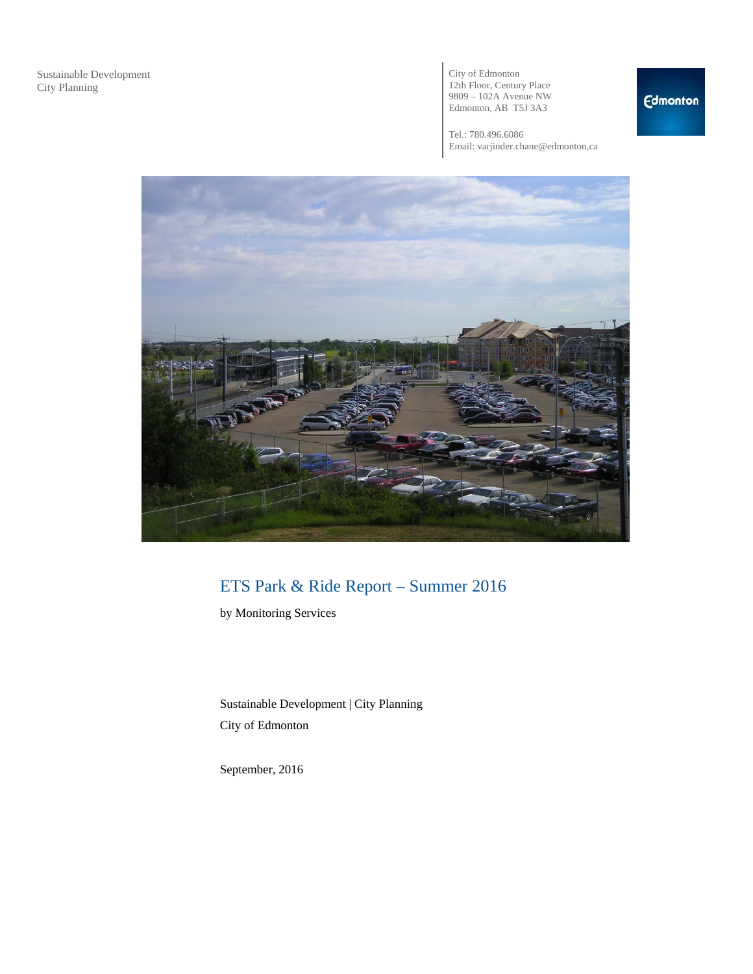City of Edmonton 12th Floor, Century Place 9809 – 102A Avenue NW Edmonton, AB T5J 3A3

Tel.: 780.496.6086 Email: varjinder.chane@edmonton,ca



## ETS Park & Ride Report – Summer 2016

by Monitoring Services

Sustainable Development | City Planning City of Edmonton

September, 2016

### **Edmonton**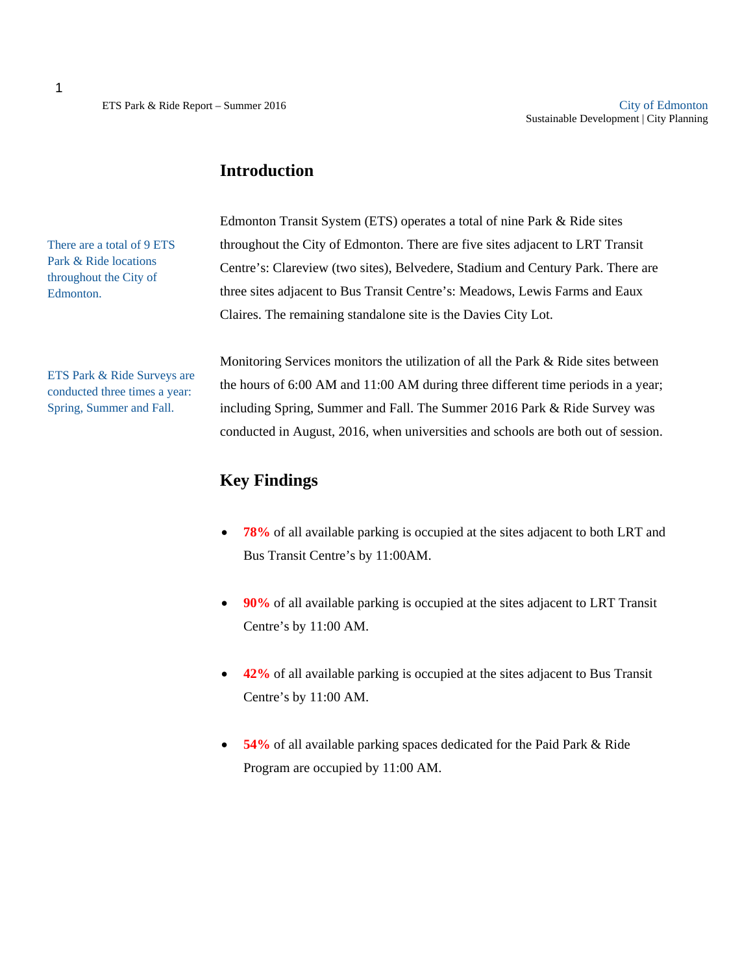### **Introduction**

There are a total of 9 ETS Park & Ride locations throughout the City of Edmonton.

ETS Park & Ride Surveys are conducted three times a year: Spring, Summer and Fall.

Edmonton Transit System (ETS) operates a total of nine Park & Ride sites throughout the City of Edmonton. There are five sites adjacent to LRT Transit Centre's: Clareview (two sites), Belvedere, Stadium and Century Park. There are three sites adjacent to Bus Transit Centre's: Meadows, Lewis Farms and Eaux Claires. The remaining standalone site is the Davies City Lot.

Monitoring Services monitors the utilization of all the Park & Ride sites between the hours of 6:00 AM and 11:00 AM during three different time periods in a year; including Spring, Summer and Fall. The Summer 2016 Park & Ride Survey was conducted in August, 2016, when universities and schools are both out of session.

#### **Key Findings**

- **78%** of all available parking is occupied at the sites adjacent to both LRT and Bus Transit Centre's by 11:00AM.
- **90%** of all available parking is occupied at the sites adjacent to LRT Transit Centre's by 11:00 AM.
- **42%** of all available parking is occupied at the sites adjacent to Bus Transit Centre's by 11:00 AM.
- **54%** of all available parking spaces dedicated for the Paid Park & Ride Program are occupied by 11:00 AM.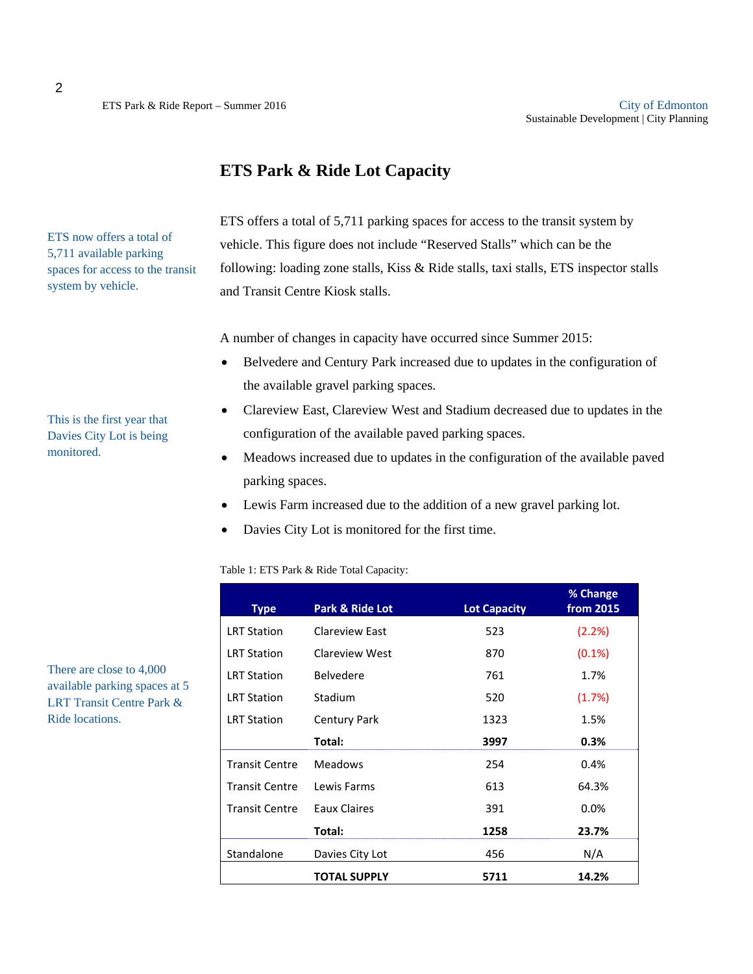### **ETS Park & Ride Lot Capacity**

ETS offers a total of 5,711 parking spaces for access to the transit system by vehicle. This figure does not include "Reserved Stalls" which can be the following: loading zone stalls, Kiss & Ride stalls, taxi stalls, ETS inspector stalls and Transit Centre Kiosk stalls.

A number of changes in capacity have occurred since Summer 2015:

- Belvedere and Century Park increased due to updates in the configuration of the available gravel parking spaces.
- Clareview East, Clareview West and Stadium decreased due to updates in the configuration of the available paved parking spaces.
- Meadows increased due to updates in the configuration of the available paved parking spaces.
- Lewis Farm increased due to the addition of a new gravel parking lot.
- Davies City Lot is monitored for the first time.

Table 1: ETS Park & Ride Total Capacity:

| <b>Type</b>           | <b>Park &amp; Ride Lot</b> | <b>Lot Capacity</b> | % Change<br>from 2015 |
|-----------------------|----------------------------|---------------------|-----------------------|
| <b>LRT Station</b>    | Clareview East             | 523                 | (2.2%)                |
| <b>LRT Station</b>    | Clareview West             | 870                 | $(0.1\%)$             |
| <b>LRT Station</b>    | <b>Belvedere</b>           | 761                 | 1.7%                  |
| <b>LRT Station</b>    | Stadium                    | 520                 | (1.7%)                |
| <b>LRT Station</b>    | <b>Century Park</b>        | 1323                | 1.5%                  |
|                       | Total:                     | 3997                | 0.3%                  |
| <b>Transit Centre</b> | <b>Meadows</b>             | 254                 | 0.4%                  |
| <b>Transit Centre</b> | Lewis Farms                | 613                 | 64.3%                 |
| <b>Transit Centre</b> | Eaux Claires               | 391                 | 0.0%                  |
|                       | Total:                     | 1258                | 23.7%                 |
| Standalone            | Davies City Lot            | 456                 | N/A                   |
|                       | <b>TOTAL SUPPLY</b>        | 5711                | 14.2%                 |

There are close to 4,000 available parking spaces at 5 LRT Transit Centre Park & Ride locations.

This is the first year that Davies City Lot is being monitored.

ETS now offers a total of 5,711 available parking spaces for access to the transit

system by vehicle.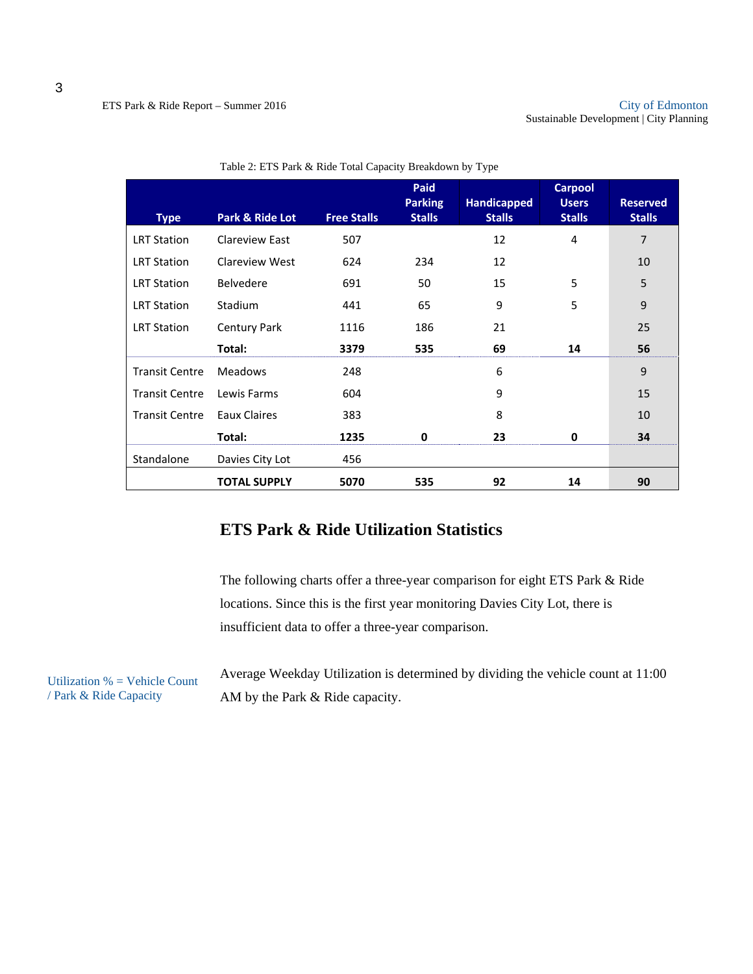| <b>Type</b>           | Park & Ride Lot       | <b>Free Stalls</b> | Paid<br><b>Parking</b><br><b>Stalls</b> | <b>Handicapped</b><br><b>Stalls</b> | <b>Carpool</b><br><b>Users</b><br><b>Stalls</b> | <b>Reserved</b><br><b>Stalls</b> |
|-----------------------|-----------------------|--------------------|-----------------------------------------|-------------------------------------|-------------------------------------------------|----------------------------------|
| <b>LRT Station</b>    | <b>Clareview East</b> | 507                |                                         | 12                                  | 4                                               | 7                                |
| <b>LRT Station</b>    | Clareview West        | 624                | 234                                     | 12                                  |                                                 | 10                               |
| <b>LRT Station</b>    | <b>Belvedere</b>      | 691                | 50                                      | 15                                  | 5                                               | 5                                |
| <b>LRT Station</b>    | Stadium               | 441                | 65                                      | 9                                   | 5                                               | 9                                |
| <b>LRT Station</b>    | Century Park          | 1116               | 186                                     | 21                                  |                                                 | 25                               |
|                       | Total:                | 3379               | 535                                     | 69                                  | 14                                              | 56                               |
| <b>Transit Centre</b> | <b>Meadows</b>        | 248                |                                         | 6                                   |                                                 | 9                                |
| <b>Transit Centre</b> | Lewis Farms           | 604                |                                         | 9                                   |                                                 | 15                               |
| <b>Transit Centre</b> | <b>Eaux Claires</b>   | 383                |                                         | 8                                   |                                                 | 10                               |
|                       | Total:                | 1235               | 0                                       | 23                                  | 0                                               | 34                               |
| Standalone            | Davies City Lot       | 456                |                                         |                                     |                                                 |                                  |
|                       | <b>TOTAL SUPPLY</b>   | 5070               | 535                                     | 92                                  | 14                                              | 90                               |

Table 2: ETS Park & Ride Total Capacity Breakdown by Type

## **ETS Park & Ride Utilization Statistics**

The following charts offer a three-year comparison for eight ETS Park & Ride locations. Since this is the first year monitoring Davies City Lot, there is insufficient data to offer a three-year comparison.

Average Weekday Utilization is determined by dividing the vehicle count at 11:00 AM by the Park & Ride capacity.

Utilization  $%$  = Vehicle Count / Park & Ride Capacity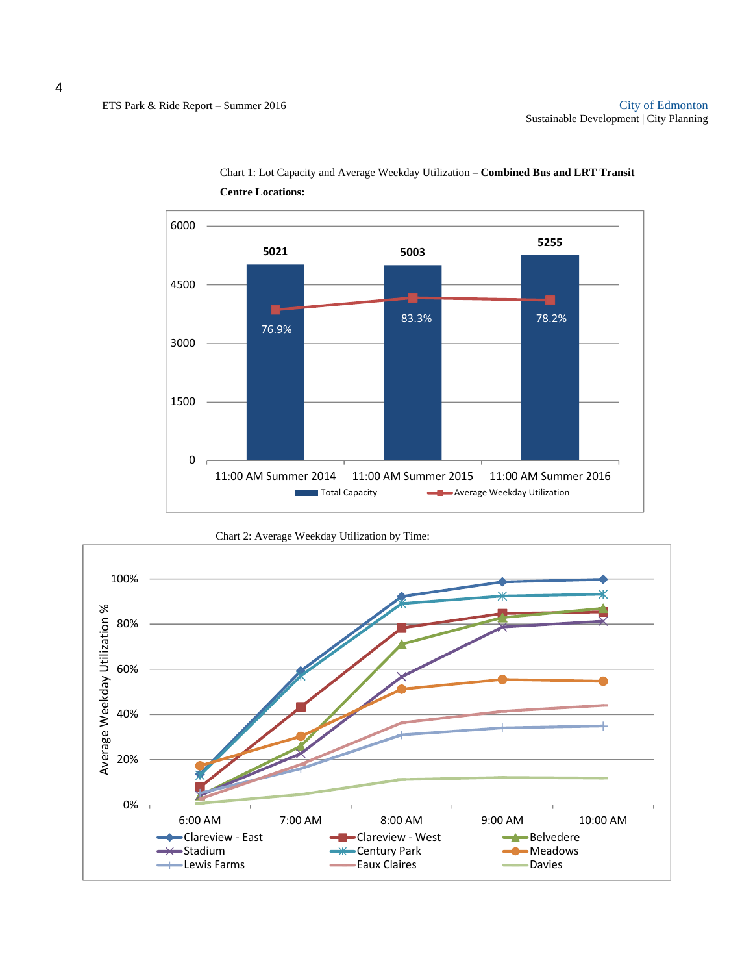

Chart 1: Lot Capacity and Average Weekday Utilization – **Combined Bus and LRT Transit Centre Locations:**

Chart 2: Average Weekday Utilization by Time:

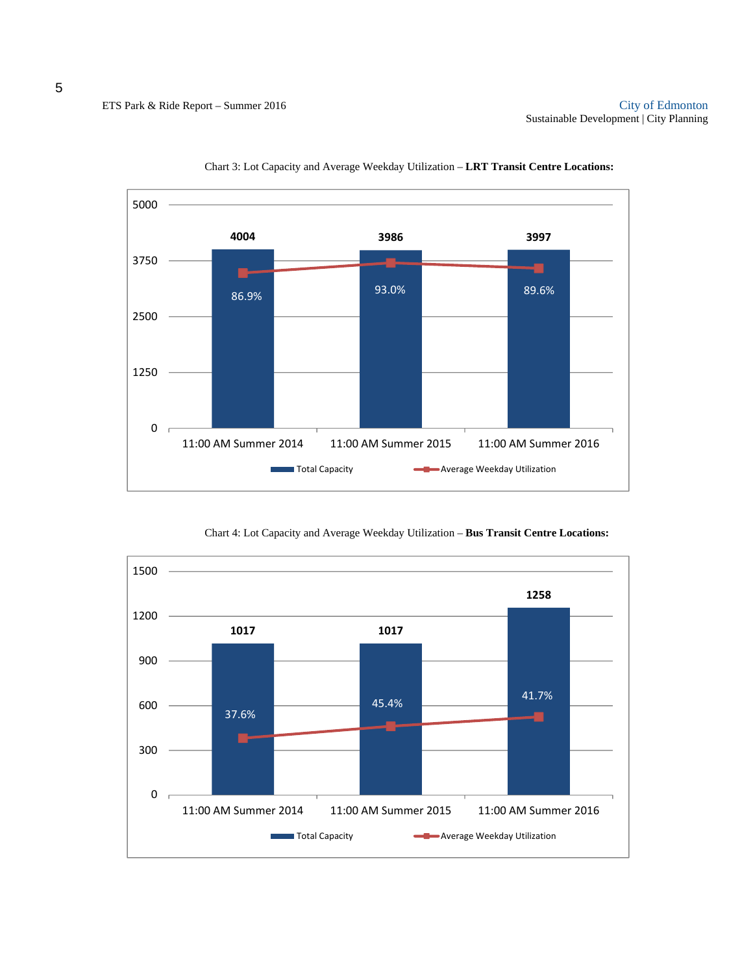



Chart 4: Lot Capacity and Average Weekday Utilization – **Bus Transit Centre Locations:** 

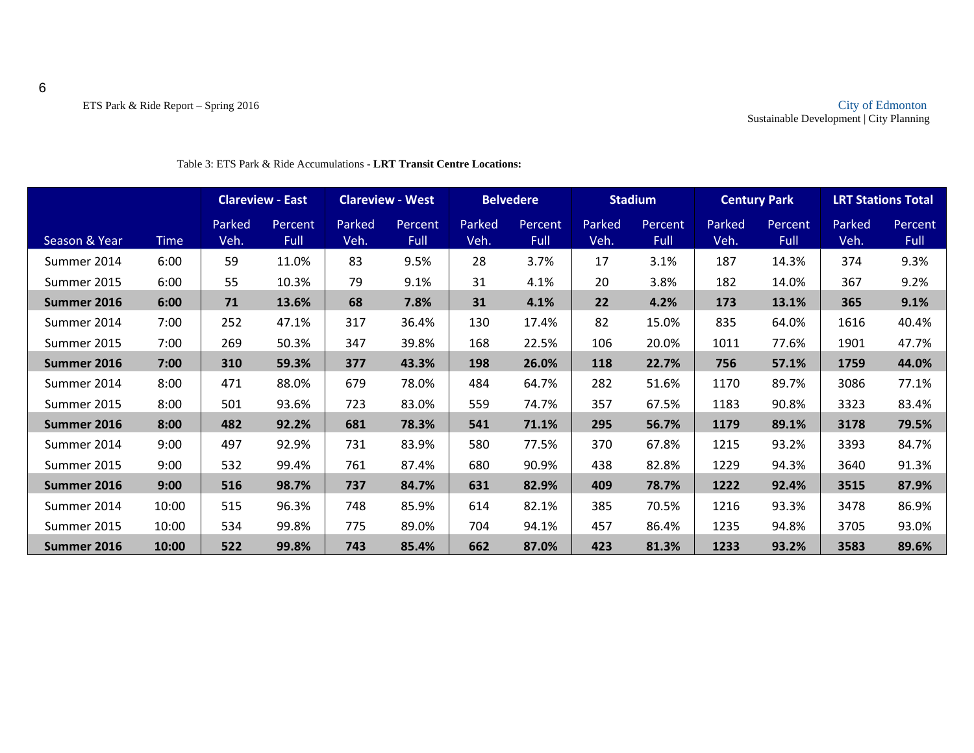|               |             |                | <b>Clareview - East</b> |                | <b>Clareview - West</b> |                | <b>Belvedere</b> |                | <b>Stadium</b>         |                | <b>Century Park</b>    |                | <b>LRT Stations Total</b> |
|---------------|-------------|----------------|-------------------------|----------------|-------------------------|----------------|------------------|----------------|------------------------|----------------|------------------------|----------------|---------------------------|
| Season & Year | <b>Time</b> | Parked<br>Veh. | Percent<br><b>Full</b>  | Parked<br>Veh. | Percent<br><b>Full</b>  | Parked<br>Veh. | Percent,<br>Full | Parked<br>Veh. | Percent<br><b>Full</b> | Parked<br>Veh. | Percent<br><b>Full</b> | Parked<br>Veh. | Percent<br><b>Full</b>    |
| Summer 2014   | 6:00        | 59             | 11.0%                   | 83             | 9.5%                    | 28             | 3.7%             | 17             | 3.1%                   | 187            | 14.3%                  | 374            | 9.3%                      |
| Summer 2015   | 6:00        | 55             | 10.3%                   | 79             | 9.1%                    | 31             | 4.1%             | 20             | 3.8%                   | 182            | 14.0%                  | 367            | 9.2%                      |
| Summer 2016   | 6:00        | 71             | 13.6%                   | 68             | 7.8%                    | 31             | 4.1%             | 22             | 4.2%                   | 173            | 13.1%                  | 365            | 9.1%                      |
| Summer 2014   | 7:00        | 252            | 47.1%                   | 317            | 36.4%                   | 130            | 17.4%            | 82             | 15.0%                  | 835            | 64.0%                  | 1616           | 40.4%                     |
| Summer 2015   | 7:00        | 269            | 50.3%                   | 347            | 39.8%                   | 168            | 22.5%            | 106            | 20.0%                  | 1011           | 77.6%                  | 1901           | 47.7%                     |
| Summer 2016   | 7:00        | 310            | 59.3%                   | 377            | 43.3%                   | 198            | 26.0%            | 118            | 22.7%                  | 756            | 57.1%                  | 1759           | 44.0%                     |
| Summer 2014   | 8:00        | 471            | 88.0%                   | 679            | 78.0%                   | 484            | 64.7%            | 282            | 51.6%                  | 1170           | 89.7%                  | 3086           | 77.1%                     |
| Summer 2015   | 8:00        | 501            | 93.6%                   | 723            | 83.0%                   | 559            | 74.7%            | 357            | 67.5%                  | 1183           | 90.8%                  | 3323           | 83.4%                     |
| Summer 2016   | 8:00        | 482            | 92.2%                   | 681            | 78.3%                   | 541            | 71.1%            | 295            | 56.7%                  | 1179           | 89.1%                  | 3178           | 79.5%                     |
| Summer 2014   | 9:00        | 497            | 92.9%                   | 731            | 83.9%                   | 580            | 77.5%            | 370            | 67.8%                  | 1215           | 93.2%                  | 3393           | 84.7%                     |
| Summer 2015   | 9:00        | 532            | 99.4%                   | 761            | 87.4%                   | 680            | 90.9%            | 438            | 82.8%                  | 1229           | 94.3%                  | 3640           | 91.3%                     |
| Summer 2016   | 9:00        | 516            | 98.7%                   | 737            | 84.7%                   | 631            | 82.9%            | 409            | 78.7%                  | 1222           | 92.4%                  | 3515           | 87.9%                     |
| Summer 2014   | 10:00       | 515            | 96.3%                   | 748            | 85.9%                   | 614            | 82.1%            | 385            | 70.5%                  | 1216           | 93.3%                  | 3478           | 86.9%                     |
| Summer 2015   | 10:00       | 534            | 99.8%                   | 775            | 89.0%                   | 704            | 94.1%            | 457            | 86.4%                  | 1235           | 94.8%                  | 3705           | 93.0%                     |
| Summer 2016   | 10:00       | 522            | 99.8%                   | 743            | 85.4%                   | 662            | 87.0%            | 423            | 81.3%                  | 1233           | 93.2%                  | 3583           | 89.6%                     |

#### Table 3: ETS Park & Ride Accumulations - **LRT Transit Centre Locations:**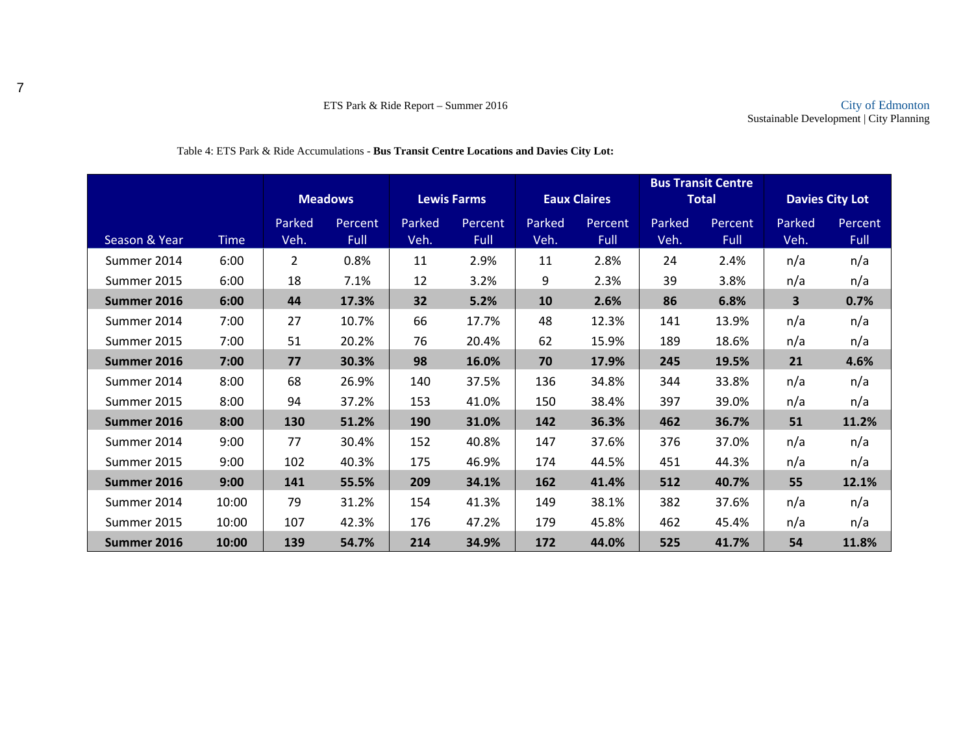|               |             |                |                |        |                    |           |                     |        | <b>Bus Transit Centre</b> |        |                        |
|---------------|-------------|----------------|----------------|--------|--------------------|-----------|---------------------|--------|---------------------------|--------|------------------------|
|               |             |                | <b>Meadows</b> |        | <b>Lewis Farms</b> |           | <b>Eaux Claires</b> |        | <b>Total</b>              |        | <b>Davies City Lot</b> |
|               |             | Parked         | Percent        | Parked | Percent            | Parked    | <b>Percent</b>      | Parked | Percent                   | Parked | Percent                |
| Season & Year | <b>Time</b> | Veh.           | <b>Full</b>    | Veh.   | Full               | Veh.      | <b>Full</b>         | Veh.   | Full                      | Veh.   | Full                   |
| Summer 2014   | 6:00        | $\overline{2}$ | 0.8%           | 11     | 2.9%               | 11        | 2.8%                | 24     | 2.4%                      | n/a    | n/a                    |
| Summer 2015   | 6:00        | 18             | 7.1%           | 12     | 3.2%               | 9         | 2.3%                | 39     | 3.8%                      | n/a    | n/a                    |
| Summer 2016   | 6:00        | 44             | 17.3%          | 32     | 5.2%               | <b>10</b> | 2.6%                | 86     | 6.8%                      | 3      | 0.7%                   |
| Summer 2014   | 7:00        | 27             | 10.7%          | 66     | 17.7%              | 48        | 12.3%               | 141    | 13.9%                     | n/a    | n/a                    |
| Summer 2015   | 7:00        | 51             | 20.2%          | 76     | 20.4%              | 62        | 15.9%               | 189    | 18.6%                     | n/a    | n/a                    |
| Summer 2016   | 7:00        | 77             | 30.3%          | 98     | 16.0%              | 70        | 17.9%               | 245    | 19.5%                     | 21     | 4.6%                   |
| Summer 2014   | 8:00        | 68             | 26.9%          | 140    | 37.5%              | 136       | 34.8%               | 344    | 33.8%                     | n/a    | n/a                    |
| Summer 2015   | 8:00        | 94             | 37.2%          | 153    | 41.0%              | 150       | 38.4%               | 397    | 39.0%                     | n/a    | n/a                    |
| Summer 2016   | 8:00        | 130            | 51.2%          | 190    | 31.0%              | 142       | 36.3%               | 462    | 36.7%                     | 51     | 11.2%                  |
| Summer 2014   | 9:00        | 77             | 30.4%          | 152    | 40.8%              | 147       | 37.6%               | 376    | 37.0%                     | n/a    | n/a                    |
| Summer 2015   | 9:00        | 102            | 40.3%          | 175    | 46.9%              | 174       | 44.5%               | 451    | 44.3%                     | n/a    | n/a                    |
| Summer 2016   | 9:00        | 141            | 55.5%          | 209    | 34.1%              | 162       | 41.4%               | 512    | 40.7%                     | 55     | 12.1%                  |
| Summer 2014   | 10:00       | 79             | 31.2%          | 154    | 41.3%              | 149       | 38.1%               | 382    | 37.6%                     | n/a    | n/a                    |
| Summer 2015   | 10:00       | 107            | 42.3%          | 176    | 47.2%              | 179       | 45.8%               | 462    | 45.4%                     | n/a    | n/a                    |
| Summer 2016   | 10:00       | 139            | 54.7%          | 214    | 34.9%              | 172       | 44.0%               | 525    | 41.7%                     | 54     | 11.8%                  |

#### Table 4: ETS Park & Ride Accumulations - **Bus Transit Centre Locations and Davies City Lot:**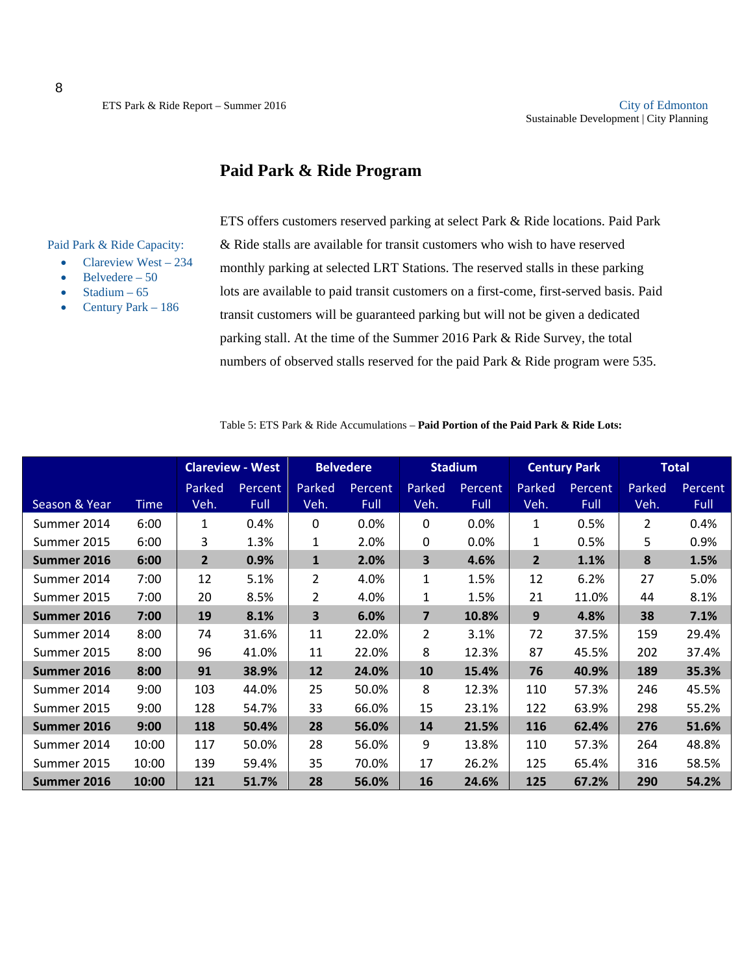### **Paid Park & Ride Program**

Paid Park & Ride Capacity:

- Clareview West 234
- Belvedere 50
- Stadium 65
- Century Park 186

ETS offers customers reserved parking at select Park & Ride locations. Paid Park & Ride stalls are available for transit customers who wish to have reserved monthly parking at selected LRT Stations. The reserved stalls in these parking lots are available to paid transit customers on a first-come, first-served basis. Paid transit customers will be guaranteed parking but will not be given a dedicated parking stall. At the time of the Summer 2016 Park & Ride Survey, the total numbers of observed stalls reserved for the paid Park & Ride program were 535.

Table 5: ETS Park & Ride Accumulations – **Paid Portion of the Paid Park & Ride Lots:** 

|               |             |                | <b>Clareview - West</b> |                         | <b>Belvedere</b> |                | <b>Stadium</b> |              | <b>Century Park</b> |        | <b>Total</b> |
|---------------|-------------|----------------|-------------------------|-------------------------|------------------|----------------|----------------|--------------|---------------------|--------|--------------|
|               |             | Parked         | Percent                 | Parked                  | Percent          | Parked         | Percent        | Parked       | Percent             | Parked | Percent      |
| Season & Year | <b>Time</b> | Veh.           | Full                    | Veh.                    | Full             | Veh.           | Full           | Veh.         | Full                | Veh.   | Full         |
| Summer 2014   | 6:00        | 1              | 0.4%                    | $\mathbf{0}$            | $0.0\%$          | 0              | 0.0%           | 1            | 0.5%                | 2      | 0.4%         |
| Summer 2015   | 6:00        | 3              | 1.3%                    | 1                       | 2.0%             | 0              | 0.0%           | 1            | 0.5%                | 5      | 0.9%         |
| Summer 2016   | 6:00        | $\overline{2}$ | 0.9%                    | $\mathbf{1}$            | 2.0%             | 3              | 4.6%           | $\mathbf{2}$ | 1.1%                | 8      | 1.5%         |
| Summer 2014   | 7:00        | 12             | 5.1%                    | $\overline{2}$          | 4.0%             | 1              | 1.5%           | 12           | 6.2%                | 27     | 5.0%         |
| Summer 2015   | 7:00        | 20             | 8.5%                    | $\overline{2}$          | 4.0%             | 1              | 1.5%           | 21           | 11.0%               | 44     | 8.1%         |
| Summer 2016   | 7:00        | 19             | 8.1%                    | $\overline{\mathbf{3}}$ | 6.0%             | $\overline{7}$ | 10.8%          | 9            | 4.8%                | 38     | 7.1%         |
| Summer 2014   | 8:00        | 74             | 31.6%                   | 11                      | 22.0%            | 2              | 3.1%           | 72           | 37.5%               | 159    | 29.4%        |
| Summer 2015   | 8:00        | 96             | 41.0%                   | 11                      | 22.0%            | 8              | 12.3%          | 87           | 45.5%               | 202    | 37.4%        |
| Summer 2016   | 8:00        | 91             | 38.9%                   | 12                      | 24.0%            | 10             | 15.4%          | 76           | 40.9%               | 189    | 35.3%        |
| Summer 2014   | 9:00        | 103            | 44.0%                   | 25                      | 50.0%            | 8              | 12.3%          | 110          | 57.3%               | 246    | 45.5%        |
| Summer 2015   | 9:00        | 128            | 54.7%                   | 33                      | 66.0%            | 15             | 23.1%          | 122          | 63.9%               | 298    | 55.2%        |
| Summer 2016   | 9:00        | 118            | 50.4%                   | 28                      | 56.0%            | 14             | 21.5%          | 116          | 62.4%               | 276    | 51.6%        |
| Summer 2014   | 10:00       | 117            | 50.0%                   | 28                      | 56.0%            | 9              | 13.8%          | 110          | 57.3%               | 264    | 48.8%        |
| Summer 2015   | 10:00       | 139            | 59.4%                   | 35                      | 70.0%            | 17             | 26.2%          | 125          | 65.4%               | 316    | 58.5%        |
| Summer 2016   | 10:00       | 121            | 51.7%                   | 28                      | 56.0%            | 16             | 24.6%          | 125          | 67.2%               | 290    | 54.2%        |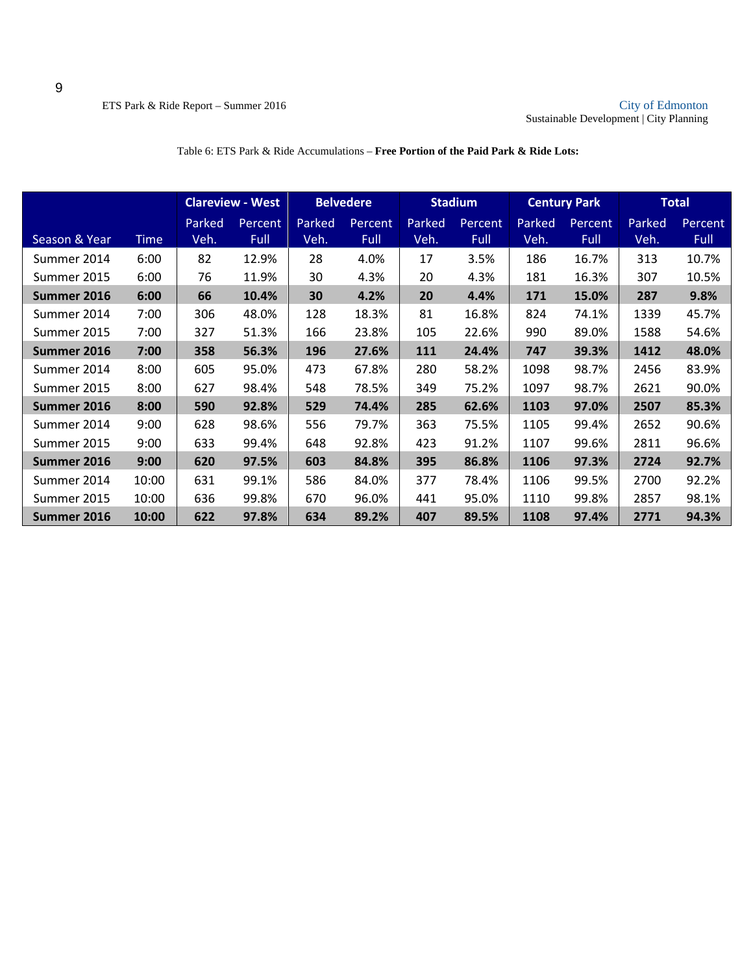|               |             |        | <b>Clareview - West</b> |        | <b>Belvedere</b> |        | <b>Stadium</b> |        | <b>Century Park</b> |        | <b>Total</b> |
|---------------|-------------|--------|-------------------------|--------|------------------|--------|----------------|--------|---------------------|--------|--------------|
|               |             | Parked | Percent,                | Parked | Percent          | Parked | <b>Percent</b> | Parked | Percent             | Parked | Percent      |
| Season & Year | <b>Time</b> | Veh.   | Full                    | Veh.   | Full             | Veh.   | <b>Full</b>    | Veh.   | Full                | Veh.   | Full         |
| Summer 2014   | 6:00        | 82     | 12.9%                   | 28     | 4.0%             | 17     | 3.5%           | 186    | 16.7%               | 313    | 10.7%        |
| Summer 2015   | 6:00        | 76     | 11.9%                   | 30     | 4.3%             | 20     | 4.3%           | 181    | 16.3%               | 307    | 10.5%        |
| Summer 2016   | 6:00        | 66     | 10.4%                   | 30     | 4.2%             | 20     | 4.4%           | 171    | 15.0%               | 287    | 9.8%         |
| Summer 2014   | 7:00        | 306    | 48.0%                   | 128    | 18.3%            | 81     | 16.8%          | 824    | 74.1%               | 1339   | 45.7%        |
| Summer 2015   | 7:00        | 327    | 51.3%                   | 166    | 23.8%            | 105    | 22.6%          | 990    | 89.0%               | 1588   | 54.6%        |
| Summer 2016   | 7:00        | 358    | 56.3%                   | 196    | 27.6%            | 111    | 24.4%          | 747    | 39.3%               | 1412   | 48.0%        |
| Summer 2014   | 8:00        | 605    | 95.0%                   | 473    | 67.8%            | 280    | 58.2%          | 1098   | 98.7%               | 2456   | 83.9%        |
| Summer 2015   | 8:00        | 627    | 98.4%                   | 548    | 78.5%            | 349    | 75.2%          | 1097   | 98.7%               | 2621   | 90.0%        |
| Summer 2016   | 8:00        | 590    | 92.8%                   | 529    | 74.4%            | 285    | 62.6%          | 1103   | 97.0%               | 2507   | 85.3%        |
| Summer 2014   | 9:00        | 628    | 98.6%                   | 556    | 79.7%            | 363    | 75.5%          | 1105   | 99.4%               | 2652   | 90.6%        |
| Summer 2015   | 9:00        | 633    | 99.4%                   | 648    | 92.8%            | 423    | 91.2%          | 1107   | 99.6%               | 2811   | 96.6%        |
| Summer 2016   | 9:00        | 620    | 97.5%                   | 603    | 84.8%            | 395    | 86.8%          | 1106   | 97.3%               | 2724   | 92.7%        |
| Summer 2014   | 10:00       | 631    | 99.1%                   | 586    | 84.0%            | 377    | 78.4%          | 1106   | 99.5%               | 2700   | 92.2%        |
| Summer 2015   | 10:00       | 636    | 99.8%                   | 670    | 96.0%            | 441    | 95.0%          | 1110   | 99.8%               | 2857   | 98.1%        |
| Summer 2016   | 10:00       | 622    | 97.8%                   | 634    | 89.2%            | 407    | 89.5%          | 1108   | 97.4%               | 2771   | 94.3%        |

#### Table 6: ETS Park & Ride Accumulations – **Free Portion of the Paid Park & Ride Lots:**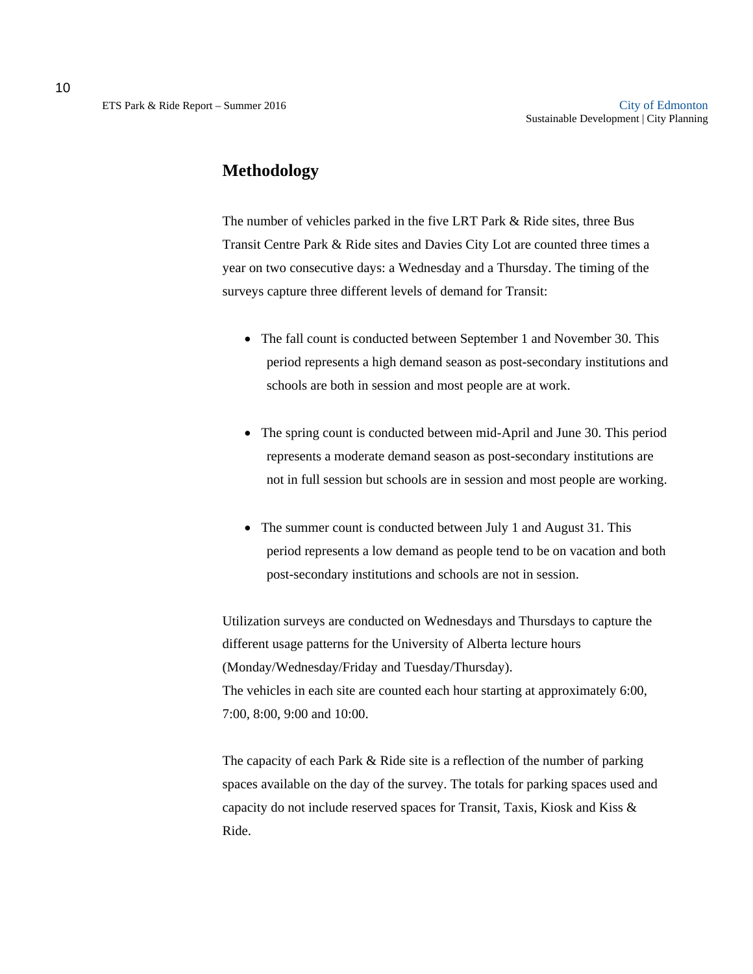### **Methodology**

The number of vehicles parked in the five LRT Park & Ride sites, three Bus Transit Centre Park & Ride sites and Davies City Lot are counted three times a year on two consecutive days: a Wednesday and a Thursday. The timing of the surveys capture three different levels of demand for Transit:

- The fall count is conducted between September 1 and November 30. This period represents a high demand season as post-secondary institutions and schools are both in session and most people are at work.
- The spring count is conducted between mid-April and June 30. This period represents a moderate demand season as post-secondary institutions are not in full session but schools are in session and most people are working.
- The summer count is conducted between July 1 and August 31. This period represents a low demand as people tend to be on vacation and both post-secondary institutions and schools are not in session.

Utilization surveys are conducted on Wednesdays and Thursdays to capture the different usage patterns for the University of Alberta lecture hours (Monday/Wednesday/Friday and Tuesday/Thursday). The vehicles in each site are counted each hour starting at approximately 6:00, 7:00, 8:00, 9:00 and 10:00.

The capacity of each Park & Ride site is a reflection of the number of parking spaces available on the day of the survey. The totals for parking spaces used and capacity do not include reserved spaces for Transit, Taxis, Kiosk and Kiss & Ride.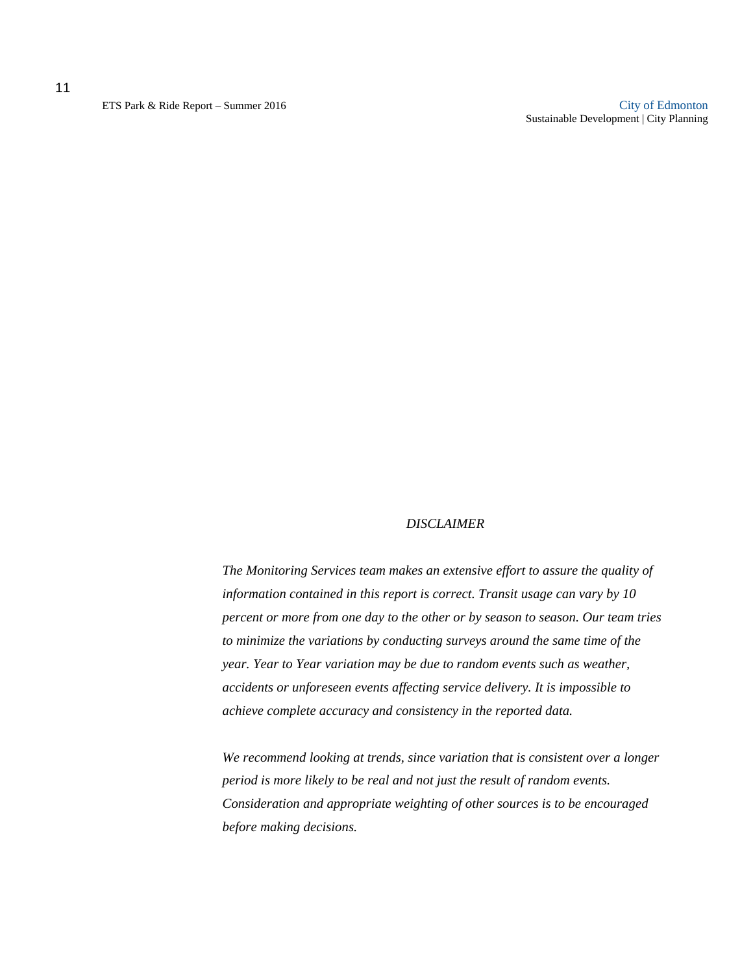11

ETS Park & Ride Report – Summer 2016 City of Edmonton Sustainable Development | City Planning

#### *DISCLAIMER*

*The Monitoring Services team makes an extensive effort to assure the quality of information contained in this report is correct. Transit usage can vary by 10 percent or more from one day to the other or by season to season. Our team tries to minimize the variations by conducting surveys around the same time of the year. Year to Year variation may be due to random events such as weather, accidents or unforeseen events affecting service delivery. It is impossible to achieve complete accuracy and consistency in the reported data.* 

*We recommend looking at trends, since variation that is consistent over a longer period is more likely to be real and not just the result of random events. Consideration and appropriate weighting of other sources is to be encouraged before making decisions.*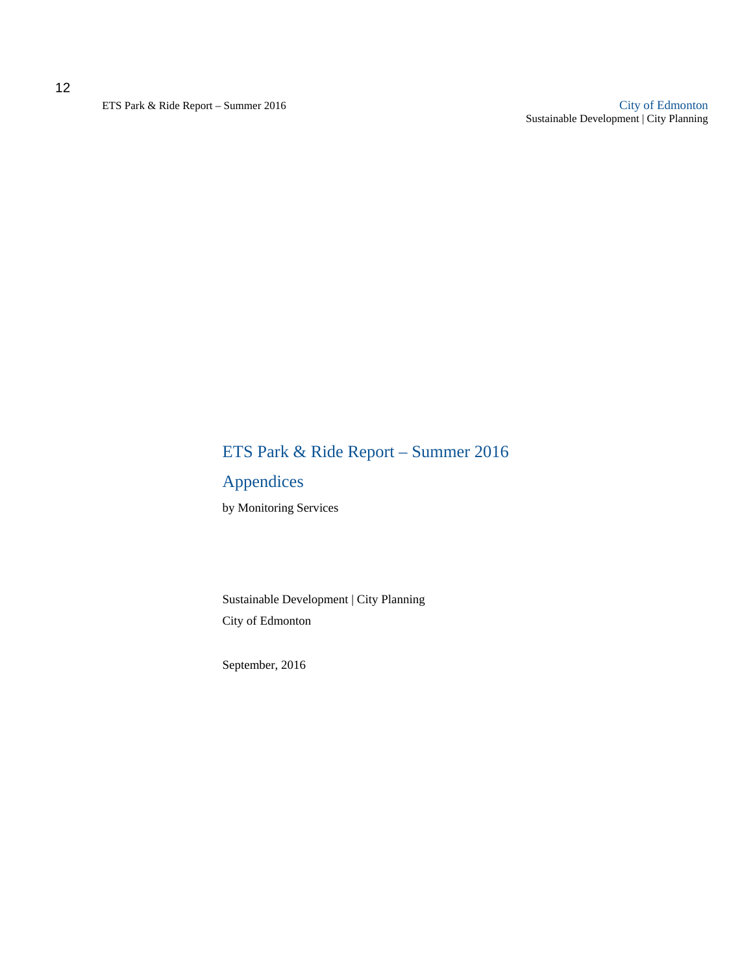ETS Park & Ride Report – Summer 2016 City of Edmonton Sustainable Development | City Planning

## ETS Park & Ride Report – Summer 2016

### Appendices

by Monitoring Services

Sustainable Development | City Planning City of Edmonton

September, 2016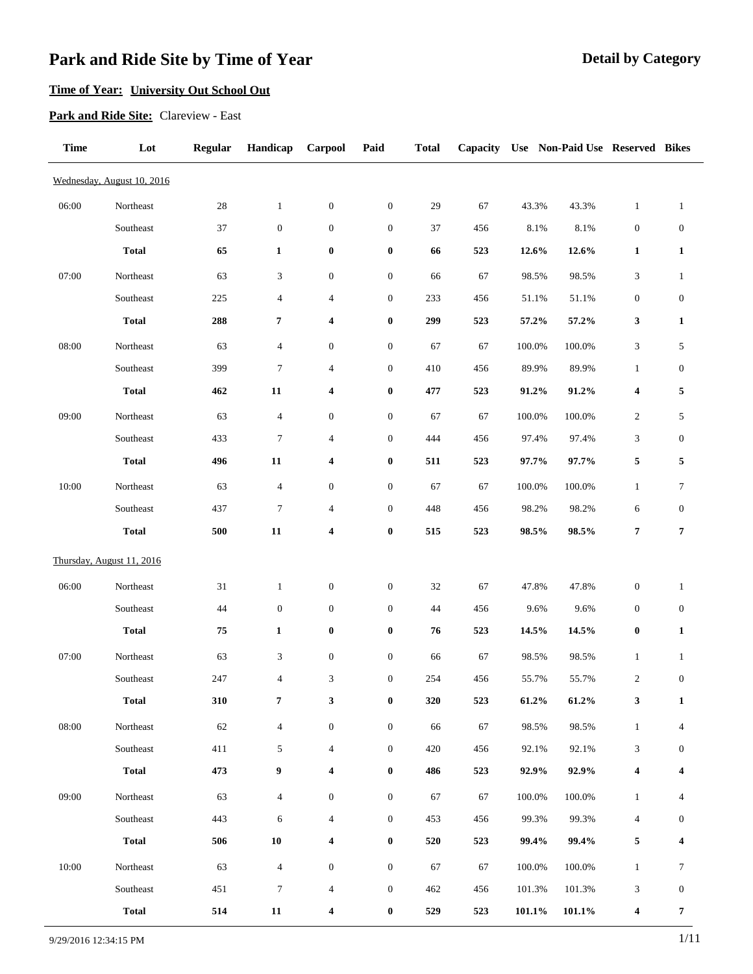### **Time of Year: University Out School Out**

**Park and Ride Site:** Clareview - East

| <b>Time</b> | Lot                        | <b>Regular</b> | Handicap                    | Carpool                 | Paid             | <b>Total</b> | Capacity |           | Use Non-Paid Use Reserved Bikes |                             |                  |
|-------------|----------------------------|----------------|-----------------------------|-------------------------|------------------|--------------|----------|-----------|---------------------------------|-----------------------------|------------------|
|             | Wednesday, August 10, 2016 |                |                             |                         |                  |              |          |           |                                 |                             |                  |
| 06:00       | Northeast                  | $28\,$         | $\mathbf{1}$                | $\boldsymbol{0}$        | $\boldsymbol{0}$ | 29           | 67       | 43.3%     | 43.3%                           | $\mathbf{1}$                | $\mathbf{1}$     |
|             | Southeast                  | 37             | $\boldsymbol{0}$            | $\boldsymbol{0}$        | $\boldsymbol{0}$ | 37           | 456      | $8.1\%$   | 8.1%                            | $\boldsymbol{0}$            | $\boldsymbol{0}$ |
|             | <b>Total</b>               | 65             | $\mathbf{1}$                | $\boldsymbol{0}$        | $\bf{0}$         | 66           | 523      | 12.6%     | 12.6%                           | $\mathbf{1}$                | 1                |
| 07:00       | Northeast                  | 63             | $\ensuremath{\mathfrak{Z}}$ | $\boldsymbol{0}$        | $\boldsymbol{0}$ | 66           | 67       | 98.5%     | 98.5%                           | $\ensuremath{\mathfrak{Z}}$ | $\mathbf{1}$     |
|             | Southeast                  | 225            | $\overline{4}$              | $\overline{4}$          | $\boldsymbol{0}$ | 233          | 456      | 51.1%     | 51.1%                           | $\boldsymbol{0}$            | $\boldsymbol{0}$ |
|             | <b>Total</b>               | 288            | 7                           | 4                       | $\pmb{0}$        | 299          | 523      | 57.2%     | 57.2%                           | 3                           | 1                |
| 08:00       | Northeast                  | 63             | $\overline{4}$              | $\boldsymbol{0}$        | $\boldsymbol{0}$ | 67           | 67       | 100.0%    | 100.0%                          | $\ensuremath{\mathfrak{Z}}$ | 5                |
|             | Southeast                  | 399            | $\boldsymbol{7}$            | $\overline{4}$          | $\boldsymbol{0}$ | 410          | 456      | 89.9%     | 89.9%                           | $\mathbf{1}$                | $\boldsymbol{0}$ |
|             | <b>Total</b>               | 462            | 11                          | 4                       | $\pmb{0}$        | 477          | 523      | 91.2%     | 91.2%                           | 4                           | 5                |
| 09:00       | Northeast                  | 63             | $\overline{4}$              | $\boldsymbol{0}$        | $\boldsymbol{0}$ | 67           | 67       | 100.0%    | 100.0%                          | $\sqrt{2}$                  | 5                |
|             | Southeast                  | 433            | $\boldsymbol{7}$            | $\overline{4}$          | $\boldsymbol{0}$ | 444          | 456      | 97.4%     | 97.4%                           | $\ensuremath{\mathfrak{Z}}$ | $\boldsymbol{0}$ |
|             | <b>Total</b>               | 496            | 11                          | 4                       | $\pmb{0}$        | 511          | 523      | 97.7%     | 97.7%                           | 5                           | 5                |
| 10:00       | Northeast                  | 63             | $\overline{4}$              | $\boldsymbol{0}$        | $\boldsymbol{0}$ | 67           | 67       | 100.0%    | 100.0%                          | $\mathbf{1}$                | $\boldsymbol{7}$ |
|             | Southeast                  | 437            | $\boldsymbol{7}$            | $\overline{4}$          | $\boldsymbol{0}$ | 448          | 456      | 98.2%     | 98.2%                           | $\epsilon$                  | $\boldsymbol{0}$ |
|             | <b>Total</b>               | 500            | 11                          | 4                       | $\pmb{0}$        | 515          | 523      | 98.5%     | 98.5%                           | $\pmb{7}$                   | $\overline{7}$   |
|             | Thursday, August 11, 2016  |                |                             |                         |                  |              |          |           |                                 |                             |                  |
| 06:00       | Northeast                  | $31\,$         | $\mathbf{1}$                | $\boldsymbol{0}$        | $\boldsymbol{0}$ | $32\,$       | 67       | 47.8%     | 47.8%                           | $\boldsymbol{0}$            | $\mathbf{1}$     |
|             | Southeast                  | $44\,$         | $\boldsymbol{0}$            | $\boldsymbol{0}$        | $\boldsymbol{0}$ | 44           | 456      | 9.6%      | 9.6%                            | $\boldsymbol{0}$            | $\boldsymbol{0}$ |
|             | <b>Total</b>               | 75             | $\mathbf{1}$                | $\pmb{0}$               | $\bf{0}$         | 76           | 523      | 14.5%     | 14.5%                           | $\boldsymbol{0}$            | $\mathbf{1}$     |
| 07:00       | Northeast                  | 63             | $\ensuremath{\mathfrak{Z}}$ | $\boldsymbol{0}$        | $\boldsymbol{0}$ | 66           | 67       | 98.5%     | 98.5%                           | $\mathbf{1}$                | $\mathbf{1}$     |
|             | Southeast                  | 247            | $\overline{4}$              | 3                       | $\boldsymbol{0}$ | 254          | 456      | 55.7%     | 55.7%                           | $\sqrt{2}$                  | $\boldsymbol{0}$ |
|             | <b>Total</b>               | 310            | 7                           | 3                       | $\bf{0}$         | 320          | 523      | $61.2\%$  | 61.2%                           | 3                           | 1                |
| 08:00       | Northeast                  | $62\,$         | $\overline{4}$              | $\boldsymbol{0}$        | $\boldsymbol{0}$ | 66           | 67       | 98.5%     | 98.5%                           | $\mathbf{1}$                | 4                |
|             | Southeast                  | 411            | 5                           | $\overline{4}$          | $\boldsymbol{0}$ | 420          | 456      | 92.1%     | 92.1%                           | 3                           | $\boldsymbol{0}$ |
|             | <b>Total</b>               | 473            | 9                           | 4                       | $\boldsymbol{0}$ | 486          | 523      | 92.9%     | 92.9%                           | 4                           | 4                |
| 09:00       | Northeast                  | 63             | $\overline{4}$              | $\boldsymbol{0}$        | $\boldsymbol{0}$ | 67           | 67       | 100.0%    | 100.0%                          | $\mathbf{1}$                | 4                |
|             | Southeast                  | 443            | 6                           | $\overline{4}$          | $\boldsymbol{0}$ | 453          | 456      | 99.3%     | 99.3%                           | $\overline{4}$              | $\mathbf{0}$     |
|             | <b>Total</b>               | 506            | ${\bf 10}$                  | 4                       | $\boldsymbol{0}$ | 520          | 523      | 99.4%     | 99.4%                           | 5                           | 4                |
| 10:00       | Northeast                  | 63             | $\overline{4}$              | $\boldsymbol{0}$        | $\boldsymbol{0}$ | 67           | 67       | 100.0%    | 100.0%                          | $\mathbf{1}$                | 7                |
|             | Southeast                  | 451            | $\boldsymbol{7}$            | $\overline{4}$          | $\boldsymbol{0}$ | 462          | 456      | 101.3%    | 101.3%                          | 3                           | $\boldsymbol{0}$ |
|             | <b>Total</b>               | 514            | 11                          | $\overline{\mathbf{4}}$ | $\bf{0}$         | 529          | 523      | $101.1\%$ | $101.1\%$                       | $\boldsymbol{4}$            | 7                |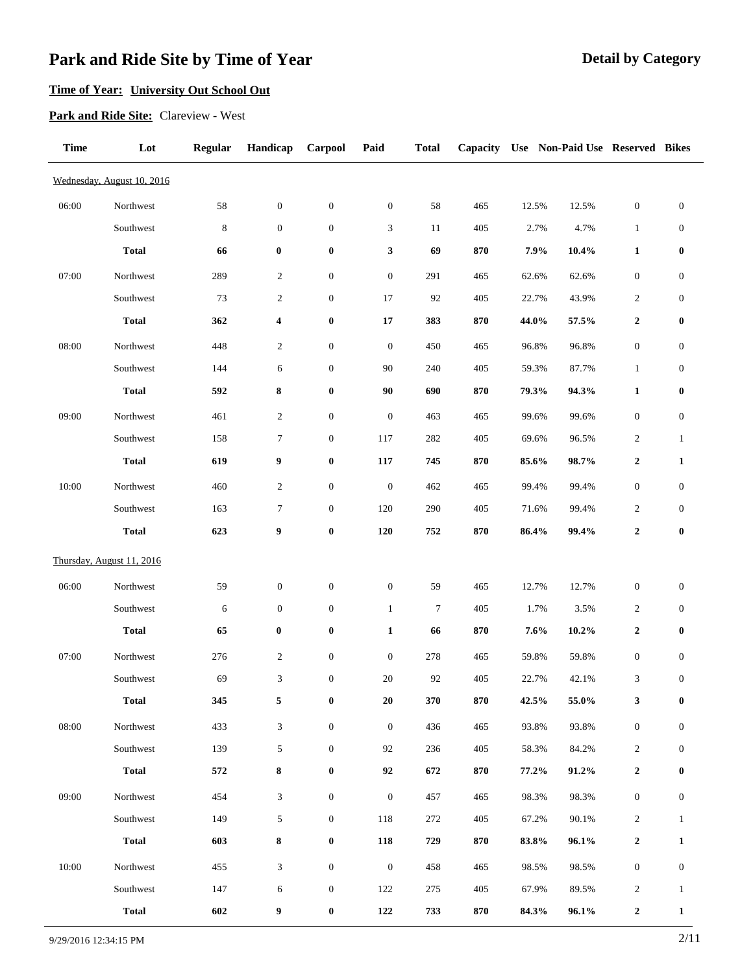### **Time of Year: University Out School Out**

**Park and Ride Site:** Clareview - West

| <b>Time</b> | Lot                        | <b>Regular</b> | Handicap                    | Carpool          | Paid             | <b>Total</b> | Capacity |       | Use Non-Paid Use Reserved Bikes |                  |                  |
|-------------|----------------------------|----------------|-----------------------------|------------------|------------------|--------------|----------|-------|---------------------------------|------------------|------------------|
|             | Wednesday, August 10, 2016 |                |                             |                  |                  |              |          |       |                                 |                  |                  |
| 06:00       | Northwest                  | 58             | $\boldsymbol{0}$            | $\boldsymbol{0}$ | $\boldsymbol{0}$ | 58           | 465      | 12.5% | 12.5%                           | $\boldsymbol{0}$ | $\boldsymbol{0}$ |
|             | Southwest                  | $\,8\,$        | $\boldsymbol{0}$            | $\boldsymbol{0}$ | $\mathfrak{Z}$   | 11           | 405      | 2.7%  | 4.7%                            | $\mathbf{1}$     | $\boldsymbol{0}$ |
|             | <b>Total</b>               | 66             | $\boldsymbol{0}$            | $\bf{0}$         | 3                | 69           | 870      | 7.9%  | 10.4%                           | $\mathbf{1}$     | $\bf{0}$         |
| 07:00       | Northwest                  | 289            | $\boldsymbol{2}$            | $\boldsymbol{0}$ | $\boldsymbol{0}$ | 291          | 465      | 62.6% | 62.6%                           | $\boldsymbol{0}$ | $\boldsymbol{0}$ |
|             | Southwest                  | 73             | $\boldsymbol{2}$            | $\boldsymbol{0}$ | 17               | 92           | 405      | 22.7% | 43.9%                           | 2                | $\boldsymbol{0}$ |
|             | <b>Total</b>               | 362            | 4                           | $\boldsymbol{0}$ | 17               | 383          | 870      | 44.0% | 57.5%                           | $\boldsymbol{2}$ | $\bf{0}$         |
| 08:00       | Northwest                  | 448            | $\boldsymbol{2}$            | $\boldsymbol{0}$ | $\boldsymbol{0}$ | 450          | 465      | 96.8% | 96.8%                           | $\boldsymbol{0}$ | $\boldsymbol{0}$ |
|             | Southwest                  | 144            | 6                           | $\boldsymbol{0}$ | 90               | 240          | 405      | 59.3% | 87.7%                           | $\mathbf{1}$     | $\boldsymbol{0}$ |
|             | <b>Total</b>               | 592            | 8                           | $\boldsymbol{0}$ | 90               | 690          | 870      | 79.3% | 94.3%                           | $\mathbf{1}$     | $\boldsymbol{0}$ |
| 09:00       | Northwest                  | 461            | $\overline{c}$              | $\boldsymbol{0}$ | $\boldsymbol{0}$ | 463          | 465      | 99.6% | 99.6%                           | $\boldsymbol{0}$ | $\boldsymbol{0}$ |
|             | Southwest                  | 158            | 7                           | $\boldsymbol{0}$ | 117              | 282          | 405      | 69.6% | 96.5%                           | 2                | $\mathbf{1}$     |
|             | <b>Total</b>               | 619            | 9                           | $\boldsymbol{0}$ | 117              | 745          | 870      | 85.6% | 98.7%                           | 2                | 1                |
| 10:00       | Northwest                  | 460            | $\mathfrak{2}$              | $\boldsymbol{0}$ | $\boldsymbol{0}$ | 462          | 465      | 99.4% | 99.4%                           | $\boldsymbol{0}$ | $\boldsymbol{0}$ |
|             | Southwest                  | 163            | 7                           | $\boldsymbol{0}$ | 120              | 290          | 405      | 71.6% | 99.4%                           | $\overline{c}$   | $\boldsymbol{0}$ |
|             | <b>Total</b>               | 623            | 9                           | $\boldsymbol{0}$ | 120              | 752          | 870      | 86.4% | 99.4%                           | $\boldsymbol{2}$ | $\bf{0}$         |
|             | Thursday, August 11, 2016  |                |                             |                  |                  |              |          |       |                                 |                  |                  |
| 06:00       | Northwest                  | 59             | $\boldsymbol{0}$            | $\boldsymbol{0}$ | $\boldsymbol{0}$ | 59           | 465      | 12.7% | 12.7%                           | $\boldsymbol{0}$ | $\boldsymbol{0}$ |
|             | Southwest                  | 6              | $\boldsymbol{0}$            | $\boldsymbol{0}$ | $\mathbf{1}$     | 7            | 405      | 1.7%  | 3.5%                            | 2                | $\boldsymbol{0}$ |
|             | <b>Total</b>               | 65             | $\boldsymbol{0}$            | $\boldsymbol{0}$ | $\mathbf{1}$     | 66           | 870      | 7.6%  | 10.2%                           | 2                | $\bf{0}$         |
| 07:00       | Northwest                  | 276            | $\boldsymbol{2}$            | $\boldsymbol{0}$ | $\boldsymbol{0}$ | 278          | 465      | 59.8% | 59.8%                           | $\boldsymbol{0}$ | $\boldsymbol{0}$ |
|             | Southwest                  | 69             | $\mathfrak{Z}$              | $\boldsymbol{0}$ | $20\,$           | 92           | 405      | 22.7% | 42.1%                           | 3                | $\boldsymbol{0}$ |
|             | <b>Total</b>               | 345            | 5                           | $\boldsymbol{0}$ | ${\bf 20}$       | 370          | 870      | 42.5% | 55.0%                           | 3                | $\bf{0}$         |
| 08:00       | Northwest                  | 433            | $\ensuremath{\mathfrak{Z}}$ | $\boldsymbol{0}$ | $\boldsymbol{0}$ | 436          | 465      | 93.8% | 93.8%                           | $\boldsymbol{0}$ | $\mathbf{0}$     |
|             | Southwest                  | 139            | 5                           | $\boldsymbol{0}$ | 92               | 236          | 405      | 58.3% | 84.2%                           | $\overline{2}$   | $\mathbf{0}$     |
|             | <b>Total</b>               | 572            | 8                           | $\boldsymbol{0}$ | 92               | 672          | 870      | 77.2% | 91.2%                           | 2                | $\bf{0}$         |
| 09:00       | Northwest                  | 454            | 3                           | $\boldsymbol{0}$ | $\boldsymbol{0}$ | 457          | 465      | 98.3% | 98.3%                           | $\boldsymbol{0}$ | $\boldsymbol{0}$ |
|             | Southwest                  | 149            | $\sqrt{5}$                  | $\boldsymbol{0}$ | 118              | 272          | 405      | 67.2% | 90.1%                           | $\overline{2}$   | 1                |
|             | <b>Total</b>               | 603            | 8                           | $\boldsymbol{0}$ | 118              | 729          | 870      | 83.8% | 96.1%                           | $\boldsymbol{2}$ | 1                |
| $10:00$     | Northwest                  | 455            | 3                           | $\boldsymbol{0}$ | $\boldsymbol{0}$ | 458          | 465      | 98.5% | 98.5%                           | $\boldsymbol{0}$ | $\boldsymbol{0}$ |
|             | Southwest                  | 147            | 6                           | $\boldsymbol{0}$ | 122              | 275          | 405      | 67.9% | 89.5%                           | $\overline{c}$   | $\mathbf{1}$     |
|             | <b>Total</b>               | 602            | 9                           | $\boldsymbol{0}$ | 122              | 733          | 870      | 84.3% | 96.1%                           | $\boldsymbol{2}$ | 1                |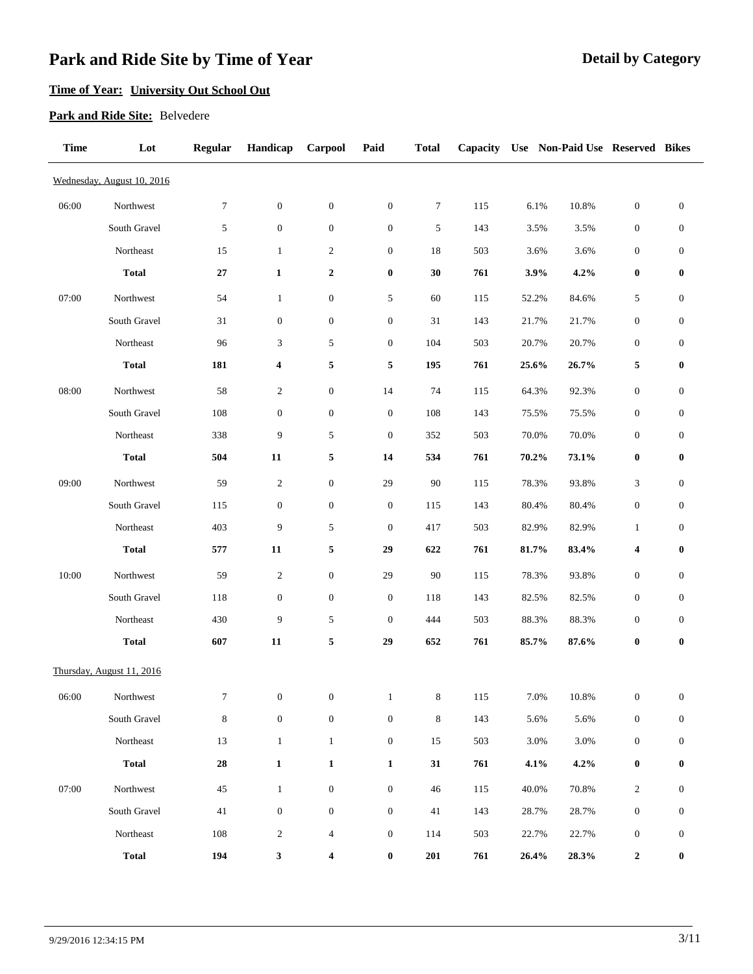### **Time of Year: University Out School Out**

#### **Park and Ride Site:** Belvedere

| <b>Time</b> | Lot                        | <b>Regular</b> | Handicap         | Carpool          | Paid             | <b>Total</b> | Capacity |       | Use Non-Paid Use Reserved Bikes |                  |                  |
|-------------|----------------------------|----------------|------------------|------------------|------------------|--------------|----------|-------|---------------------------------|------------------|------------------|
|             | Wednesday, August 10, 2016 |                |                  |                  |                  |              |          |       |                                 |                  |                  |
| 06:00       | Northwest                  | 7              | $\boldsymbol{0}$ | $\boldsymbol{0}$ | $\boldsymbol{0}$ | $\tau$       | 115      | 6.1%  | 10.8%                           | $\boldsymbol{0}$ | $\mathbf{0}$     |
|             | South Gravel               | 5              | $\boldsymbol{0}$ | $\boldsymbol{0}$ | $\boldsymbol{0}$ | 5            | 143      | 3.5%  | 3.5%                            | $\boldsymbol{0}$ | $\boldsymbol{0}$ |
|             | Northeast                  | 15             | 1                | $\overline{c}$   | $\boldsymbol{0}$ | 18           | 503      | 3.6%  | 3.6%                            | $\boldsymbol{0}$ | $\boldsymbol{0}$ |
|             | <b>Total</b>               | 27             | $\mathbf{1}$     | $\boldsymbol{2}$ | $\bf{0}$         | 30           | 761      | 3.9%  | 4.2%                            | $\bf{0}$         | $\bf{0}$         |
| 07:00       | Northwest                  | 54             | 1                | $\boldsymbol{0}$ | 5                | 60           | 115      | 52.2% | 84.6%                           | 5                | $\boldsymbol{0}$ |
|             | South Gravel               | 31             | $\boldsymbol{0}$ | $\boldsymbol{0}$ | $\boldsymbol{0}$ | 31           | 143      | 21.7% | 21.7%                           | $\boldsymbol{0}$ | $\boldsymbol{0}$ |
|             | Northeast                  | 96             | 3                | 5                | $\mathbf{0}$     | 104          | 503      | 20.7% | 20.7%                           | $\boldsymbol{0}$ | $\boldsymbol{0}$ |
|             | <b>Total</b>               | 181            | 4                | 5                | 5                | 195          | 761      | 25.6% | 26.7%                           | 5                | $\bf{0}$         |
| 08:00       | Northwest                  | 58             | $\overline{2}$   | $\boldsymbol{0}$ | 14               | 74           | 115      | 64.3% | 92.3%                           | $\boldsymbol{0}$ | $\boldsymbol{0}$ |
|             | South Gravel               | 108            | $\boldsymbol{0}$ | $\boldsymbol{0}$ | $\boldsymbol{0}$ | 108          | 143      | 75.5% | 75.5%                           | $\boldsymbol{0}$ | $\boldsymbol{0}$ |
|             | Northeast                  | 338            | 9                | 5                | $\boldsymbol{0}$ | 352          | 503      | 70.0% | 70.0%                           | $\boldsymbol{0}$ | $\boldsymbol{0}$ |
|             | <b>Total</b>               | 504            | 11               | 5                | 14               | 534          | 761      | 70.2% | 73.1%                           | $\bf{0}$         | $\bf{0}$         |
| 09:00       | Northwest                  | 59             | $\sqrt{2}$       | $\boldsymbol{0}$ | 29               | 90           | 115      | 78.3% | 93.8%                           | 3                | $\boldsymbol{0}$ |
|             | South Gravel               | 115            | $\boldsymbol{0}$ | $\boldsymbol{0}$ | $\boldsymbol{0}$ | 115          | 143      | 80.4% | 80.4%                           | $\boldsymbol{0}$ | $\boldsymbol{0}$ |
|             | Northeast                  | 403            | 9                | 5                | $\boldsymbol{0}$ | 417          | 503      | 82.9% | 82.9%                           | $\mathbf{1}$     | $\boldsymbol{0}$ |
|             | <b>Total</b>               | 577            | 11               | 5                | 29               | 622          | 761      | 81.7% | 83.4%                           | 4                | $\bf{0}$         |
| 10:00       | Northwest                  | 59             | $\overline{2}$   | $\boldsymbol{0}$ | 29               | 90           | 115      | 78.3% | 93.8%                           | $\boldsymbol{0}$ | $\boldsymbol{0}$ |
|             | South Gravel               | 118            | $\boldsymbol{0}$ | $\boldsymbol{0}$ | $\boldsymbol{0}$ | 118          | 143      | 82.5% | 82.5%                           | $\boldsymbol{0}$ | $\boldsymbol{0}$ |
|             | Northeast                  | 430            | 9                | 5                | $\mathbf{0}$     | 444          | 503      | 88.3% | 88.3%                           | $\boldsymbol{0}$ | $\boldsymbol{0}$ |
|             | <b>Total</b>               | 607            | 11               | 5                | 29               | 652          | 761      | 85.7% | 87.6%                           | $\bf{0}$         | $\bf{0}$         |
|             | Thursday, August 11, 2016  |                |                  |                  |                  |              |          |       |                                 |                  |                  |
| 06:00       | Northwest                  | 7              | $\boldsymbol{0}$ | $\boldsymbol{0}$ | $\mathbf{1}$     | $\,8\,$      | 115      | 7.0%  | 10.8%                           | $\boldsymbol{0}$ | $\mathbf{0}$     |
|             | South Gravel               | $\,8\,$        | $\boldsymbol{0}$ | $\boldsymbol{0}$ | $\boldsymbol{0}$ | $\bf 8$      | 143      | 5.6%  | 5.6%                            | $\boldsymbol{0}$ | $\boldsymbol{0}$ |
|             | Northeast                  | 13             | $\mathbf{1}$     | $\mathbf{1}$     | $\boldsymbol{0}$ | 15           | 503      | 3.0%  | 3.0%                            | $\boldsymbol{0}$ | $\boldsymbol{0}$ |
|             | <b>Total</b>               | ${\bf 28}$     | $\mathbf 1$      | $\mathbf{1}$     | $\mathbf{1}$     | 31           | 761      | 4.1%  | 4.2%                            | $\bf{0}$         | $\bf{0}$         |
| 07:00       | Northwest                  | 45             | $\mathbf{1}$     | $\boldsymbol{0}$ | $\boldsymbol{0}$ | 46           | 115      | 40.0% | 70.8%                           | $\overline{c}$   | $\boldsymbol{0}$ |
|             | South Gravel               | 41             | $\boldsymbol{0}$ | $\boldsymbol{0}$ | $\boldsymbol{0}$ | 41           | 143      | 28.7% | 28.7%                           | $\boldsymbol{0}$ | $\boldsymbol{0}$ |
|             | Northeast                  | 108            | $\overline{c}$   | $\overline{4}$   | $\boldsymbol{0}$ | 114          | 503      | 22.7% | 22.7%                           | $\boldsymbol{0}$ | $\boldsymbol{0}$ |
|             | <b>Total</b>               | 194            | 3                | 4                | $\bf{0}$         | 201          | 761      | 26.4% | 28.3%                           | $\boldsymbol{2}$ | $\bf{0}$         |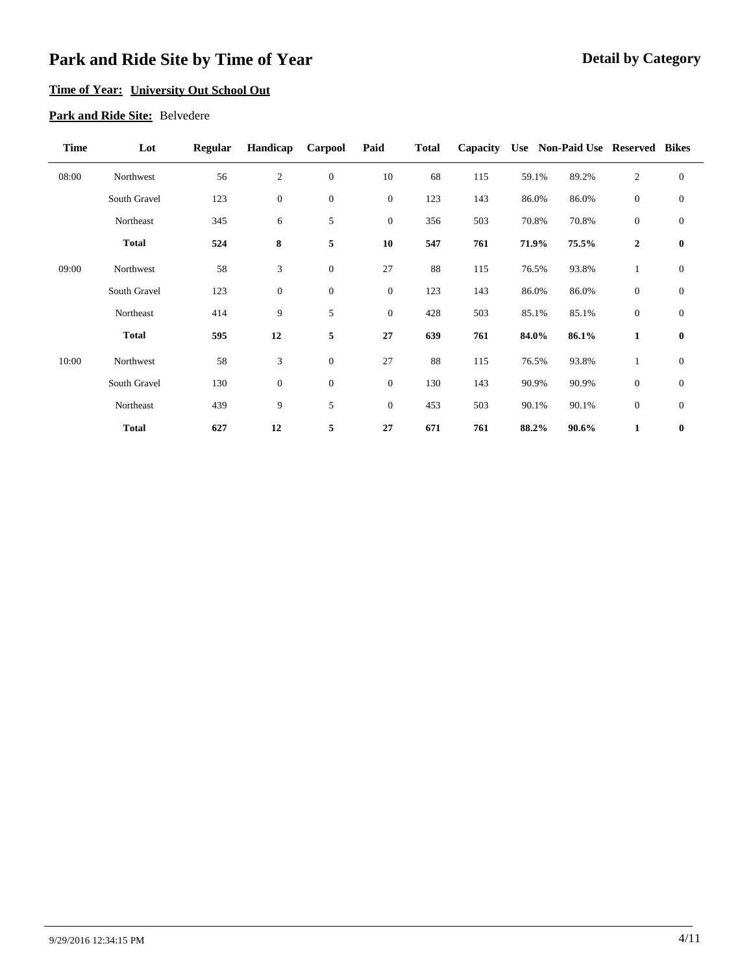### **Time of Year: University Out School Out**

#### **Park and Ride Site:** Belvedere

| <b>Time</b> | Lot          | <b>Regular</b> | Handicap         | Carpool          | Paid         | <b>Total</b> | Capacity |       |       | Use Non-Paid Use Reserved Bikes |              |
|-------------|--------------|----------------|------------------|------------------|--------------|--------------|----------|-------|-------|---------------------------------|--------------|
| 08:00       | Northwest    | 56             | $\sqrt{2}$       | $\boldsymbol{0}$ | 10           | 68           | 115      | 59.1% | 89.2% | $\sqrt{2}$                      | $\mathbf{0}$ |
|             | South Gravel | 123            | $\boldsymbol{0}$ | $\boldsymbol{0}$ | $\mathbf{0}$ | 123          | 143      | 86.0% | 86.0% | $\mathbf{0}$                    | $\mathbf{0}$ |
|             | Northeast    | 345            | 6                | 5                | $\mathbf{0}$ | 356          | 503      | 70.8% | 70.8% | $\mathbf{0}$                    | $\mathbf{0}$ |
|             | <b>Total</b> | 524            | 8                | 5                | 10           | 547          | 761      | 71.9% | 75.5% | $\mathbf{2}$                    | $\bf{0}$     |
| 09:00       | Northwest    | 58             | $\mathfrak{Z}$   | $\boldsymbol{0}$ | 27           | 88           | 115      | 76.5% | 93.8% | $\mathbf{1}$                    | $\theta$     |
|             | South Gravel | 123            | $\mathbf{0}$     | $\boldsymbol{0}$ | $\mathbf{0}$ | 123          | 143      | 86.0% | 86.0% | $\mathbf{0}$                    | $\mathbf{0}$ |
|             | Northeast    | 414            | 9                | 5                | $\mathbf{0}$ | 428          | 503      | 85.1% | 85.1% | $\mathbf{0}$                    | $\mathbf{0}$ |
|             | <b>Total</b> | 595            | 12               | $\sqrt{5}$       | 27           | 639          | 761      | 84.0% | 86.1% | $\mathbf{1}$                    | $\bf{0}$     |
| 10:00       | Northwest    | 58             | 3                | $\boldsymbol{0}$ | 27           | 88           | 115      | 76.5% | 93.8% | 1                               | $\mathbf{0}$ |
|             | South Gravel | 130            | $\boldsymbol{0}$ | $\boldsymbol{0}$ | $\mathbf{0}$ | 130          | 143      | 90.9% | 90.9% | $\mathbf{0}$                    | $\mathbf{0}$ |
|             | Northeast    | 439            | 9                | 5                | $\mathbf{0}$ | 453          | 503      | 90.1% | 90.1% | $\mathbf{0}$                    | $\mathbf{0}$ |
|             | <b>Total</b> | 627            | 12               | $\sqrt{5}$       | 27           | 671          | 761      | 88.2% | 90.6% | $\mathbf{1}$                    | $\bf{0}$     |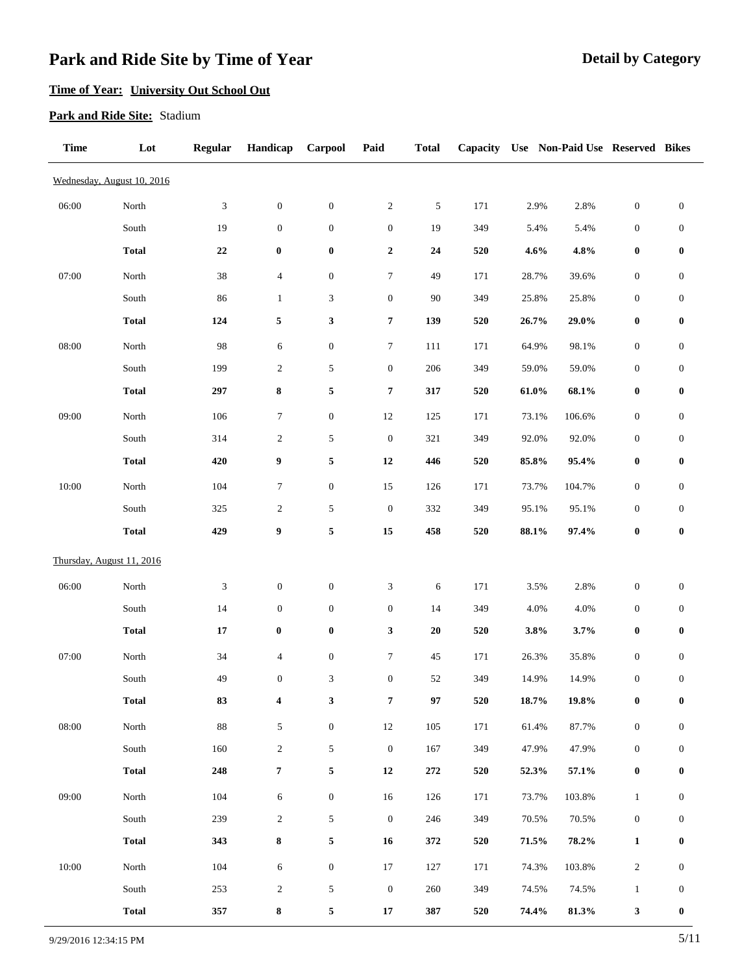### **Time of Year: University Out School Out**

#### **Park and Ride Site:** Stadium

| <b>Time</b> | Lot                        | <b>Regular</b>              | Handicap         | Carpool                     | Paid                        | <b>Total</b> |             |          | Capacity Use Non-Paid Use Reserved Bikes |                  |                  |
|-------------|----------------------------|-----------------------------|------------------|-----------------------------|-----------------------------|--------------|-------------|----------|------------------------------------------|------------------|------------------|
|             | Wednesday, August 10, 2016 |                             |                  |                             |                             |              |             |          |                                          |                  |                  |
| 06:00       | North                      | $\ensuremath{\mathfrak{Z}}$ | $\boldsymbol{0}$ | $\boldsymbol{0}$            | $\sqrt{2}$                  | $\sqrt{5}$   | 171         | 2.9%     | 2.8%                                     | $\boldsymbol{0}$ | $\boldsymbol{0}$ |
|             | South                      | 19                          | $\boldsymbol{0}$ | $\boldsymbol{0}$            | $\boldsymbol{0}$            | 19           | 349         | 5.4%     | 5.4%                                     | $\boldsymbol{0}$ | $\boldsymbol{0}$ |
|             | <b>Total</b>               | $\bf 22$                    | $\pmb{0}$        | $\boldsymbol{0}$            | $\boldsymbol{2}$            | 24           | 520         | 4.6%     | 4.8%                                     | $\boldsymbol{0}$ | $\pmb{0}$        |
| 07:00       | North                      | $38\,$                      | $\overline{4}$   | $\boldsymbol{0}$            | $\tau$                      | 49           | 171         | 28.7%    | 39.6%                                    | $\boldsymbol{0}$ | $\boldsymbol{0}$ |
|             | South                      | 86                          | $\mathbf{1}$     | $\ensuremath{\mathfrak{Z}}$ | $\boldsymbol{0}$            | 90           | 349         | 25.8%    | 25.8%                                    | $\boldsymbol{0}$ | $\boldsymbol{0}$ |
|             | <b>Total</b>               | 124                         | $\sqrt{5}$       | 3                           | $\pmb{7}$                   | 139          | 520         | 26.7%    | $29.0\%$                                 | $\boldsymbol{0}$ | $\bf{0}$         |
| 08:00       | North                      | 98                          | $\sqrt{6}$       | $\boldsymbol{0}$            | $\boldsymbol{7}$            | 111          | 171         | 64.9%    | 98.1%                                    | $\boldsymbol{0}$ | $\boldsymbol{0}$ |
|             | South                      | 199                         | $\sqrt{2}$       | $\sqrt{5}$                  | $\boldsymbol{0}$            | 206          | 349         | 59.0%    | 59.0%                                    | $\boldsymbol{0}$ | $\boldsymbol{0}$ |
|             | <b>Total</b>               | 297                         | $\bf 8$          | 5                           | $\boldsymbol{7}$            | 317          | 520         | $61.0\%$ | 68.1%                                    | $\boldsymbol{0}$ | $\boldsymbol{0}$ |
| 09:00       | North                      | 106                         | $\tau$           | $\boldsymbol{0}$            | $12\,$                      | 125          | 171         | 73.1%    | 106.6%                                   | $\boldsymbol{0}$ | $\boldsymbol{0}$ |
|             | South                      | 314                         | $\overline{c}$   | $\sqrt{5}$                  | $\boldsymbol{0}$            | 321          | 349         | 92.0%    | 92.0%                                    | $\boldsymbol{0}$ | $\boldsymbol{0}$ |
|             | <b>Total</b>               | 420                         | $\boldsymbol{9}$ | 5                           | ${\bf 12}$                  | 446          | 520         | 85.8%    | 95.4%                                    | $\boldsymbol{0}$ | $\bf{0}$         |
| 10:00       | North                      | 104                         | $\tau$           | $\boldsymbol{0}$            | $15\,$                      | 126          | 171         | 73.7%    | 104.7%                                   | $\boldsymbol{0}$ | $\boldsymbol{0}$ |
|             | $\operatorname{South}$     | 325                         | $\overline{c}$   | $\sqrt{5}$                  | $\boldsymbol{0}$            | 332          | 349         | 95.1%    | 95.1%                                    | $\boldsymbol{0}$ | $\boldsymbol{0}$ |
|             | <b>Total</b>               | 429                         | $\boldsymbol{9}$ | $\sqrt{5}$                  | 15                          | 458          | 520         | 88.1%    | 97.4%                                    | $\boldsymbol{0}$ | $\pmb{0}$        |
|             | Thursday, August 11, 2016  |                             |                  |                             |                             |              |             |          |                                          |                  |                  |
| 06:00       | North                      | 3                           | $\boldsymbol{0}$ | $\boldsymbol{0}$            | $\ensuremath{\mathfrak{Z}}$ | 6            | 171         | 3.5%     | 2.8%                                     | $\boldsymbol{0}$ | $\boldsymbol{0}$ |
|             | South                      | 14                          | $\boldsymbol{0}$ | $\boldsymbol{0}$            | $\boldsymbol{0}$            | 14           | 349         | 4.0%     | 4.0%                                     | $\boldsymbol{0}$ | $\boldsymbol{0}$ |
|             | <b>Total</b>               | ${\bf 17}$                  | $\pmb{0}$        | $\boldsymbol{0}$            | $\mathbf{3}$                | ${\bf 20}$   | 520         | 3.8%     | 3.7%                                     | $\pmb{0}$        | $\pmb{0}$        |
| 07:00       | $\operatorname{North}$     | 34                          | $\overline{4}$   | $\boldsymbol{0}$            | $\tau$                      | 45           | 171         | 26.3%    | 35.8%                                    | $\boldsymbol{0}$ | $\boldsymbol{0}$ |
|             | South                      | 49                          | $\boldsymbol{0}$ | $\ensuremath{\mathfrak{Z}}$ | $\boldsymbol{0}$            | 52           | 349         | 14.9%    | 14.9%                                    | $\boldsymbol{0}$ | $\boldsymbol{0}$ |
|             | <b>Total</b>               | 83                          | 4                | 3                           | $\pmb{7}$                   | 97           | ${\bf 520}$ | $18.7\%$ | 19.8%                                    | $\boldsymbol{0}$ | $\bf{0}$         |
| 08:00       | North                      | $88\,$                      | $\sqrt{5}$       | $\boldsymbol{0}$            | $12\,$                      | 105          | 171         | 61.4%    | 87.7%                                    | $\boldsymbol{0}$ | $\mathbf{0}$     |
|             | South                      | 160                         | $\sqrt{2}$       | $\sqrt{5}$                  | $\boldsymbol{0}$            | 167          | 349         | 47.9%    | 47.9%                                    | $\boldsymbol{0}$ | $\boldsymbol{0}$ |
|             | <b>Total</b>               | 248                         | $\pmb{7}$        | 5                           | $\bf{12}$                   | 272          | 520         | 52.3%    | 57.1%                                    | $\boldsymbol{0}$ | $\bf{0}$         |
| 09:00       | $\operatorname{North}$     | 104                         | $\sqrt{6}$       | $\boldsymbol{0}$            | $16\,$                      | 126          | 171         | 73.7%    | 103.8%                                   | $\mathbf{1}$     | $\boldsymbol{0}$ |
|             | South                      | 239                         | $\sqrt{2}$       | $\sqrt{5}$                  | $\boldsymbol{0}$            | 246          | 349         | 70.5%    | 70.5%                                    | $\boldsymbol{0}$ | $\boldsymbol{0}$ |
|             | <b>Total</b>               | 343                         | $\bf 8$          | 5                           | 16                          | 372          | 520         | 71.5%    | 78.2%                                    | $\mathbf{1}$     | $\bf{0}$         |
| 10:00       | North                      | 104                         | $\sqrt{6}$       | $\boldsymbol{0}$            | $17\,$                      | 127          | 171         | 74.3%    | 103.8%                                   | $\sqrt{2}$       | $\boldsymbol{0}$ |
|             | South                      | 253                         | $\sqrt{2}$       | $\sqrt{5}$                  | $\boldsymbol{0}$            | 260          | 349         | 74.5%    | 74.5%                                    | $\mathbf{1}$     | $\boldsymbol{0}$ |
|             | <b>Total</b>               | 357                         | $\bf 8$          | 5                           | $\bf 17$                    | 387          | 520         | 74.4%    | 81.3%                                    | 3                | $\bf{0}$         |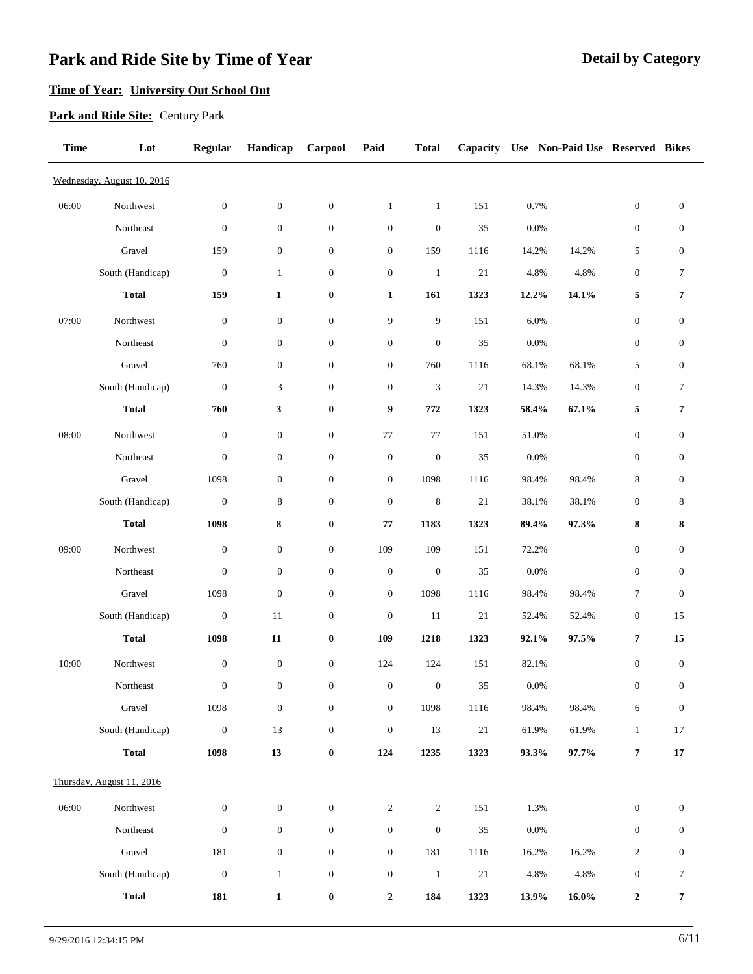### **Time of Year: University Out School Out**

#### **Park and Ride Site:** Century Park

| <b>Time</b> | Lot                        | <b>Regular</b>   | Handicap         | Carpool          | Paid             | <b>Total</b>     | Capacity |         | Use Non-Paid Use Reserved Bikes |                  |                  |
|-------------|----------------------------|------------------|------------------|------------------|------------------|------------------|----------|---------|---------------------------------|------------------|------------------|
|             | Wednesday, August 10, 2016 |                  |                  |                  |                  |                  |          |         |                                 |                  |                  |
| 06:00       | Northwest                  | $\boldsymbol{0}$ | $\boldsymbol{0}$ | $\boldsymbol{0}$ | $\mathbf{1}$     | $\mathbf{1}$     | 151      | 0.7%    |                                 | $\boldsymbol{0}$ | $\boldsymbol{0}$ |
|             | Northeast                  | $\boldsymbol{0}$ | $\boldsymbol{0}$ | $\boldsymbol{0}$ | $\boldsymbol{0}$ | $\boldsymbol{0}$ | 35       | 0.0%    |                                 | $\boldsymbol{0}$ | $\boldsymbol{0}$ |
|             | Gravel                     | 159              | $\boldsymbol{0}$ | $\boldsymbol{0}$ | $\mathbf{0}$     | 159              | 1116     | 14.2%   | 14.2%                           | 5                | $\boldsymbol{0}$ |
|             | South (Handicap)           | $\boldsymbol{0}$ | $\mathbf{1}$     | $\boldsymbol{0}$ | $\boldsymbol{0}$ | $\mathbf{1}$     | 21       | 4.8%    | 4.8%                            | $\boldsymbol{0}$ | 7                |
|             | <b>Total</b>               | 159              | $\mathbf{1}$     | $\bf{0}$         | $\mathbf{1}$     | 161              | 1323     | 12.2%   | 14.1%                           | 5                | 7                |
| 07:00       | Northwest                  | $\boldsymbol{0}$ | $\boldsymbol{0}$ | $\boldsymbol{0}$ | 9                | 9                | 151      | 6.0%    |                                 | $\boldsymbol{0}$ | $\boldsymbol{0}$ |
|             | Northeast                  | $\boldsymbol{0}$ | $\boldsymbol{0}$ | $\boldsymbol{0}$ | $\boldsymbol{0}$ | $\boldsymbol{0}$ | 35       | 0.0%    |                                 | $\boldsymbol{0}$ | $\boldsymbol{0}$ |
|             | Gravel                     | 760              | $\boldsymbol{0}$ | $\boldsymbol{0}$ | $\mathbf{0}$     | 760              | 1116     | 68.1%   | 68.1%                           | 5                | $\boldsymbol{0}$ |
|             | South (Handicap)           | $\boldsymbol{0}$ | 3                | $\boldsymbol{0}$ | $\mathbf{0}$     | 3                | 21       | 14.3%   | 14.3%                           | $\boldsymbol{0}$ | 7                |
|             | <b>Total</b>               | 760              | $\mathbf{3}$     | $\bf{0}$         | 9                | 772              | 1323     | 58.4%   | 67.1%                           | 5                | 7                |
| 08:00       | Northwest                  | $\boldsymbol{0}$ | $\boldsymbol{0}$ | $\boldsymbol{0}$ | 77               | 77               | 151      | 51.0%   |                                 | $\boldsymbol{0}$ | $\boldsymbol{0}$ |
|             | Northeast                  | $\boldsymbol{0}$ | $\boldsymbol{0}$ | $\boldsymbol{0}$ | $\boldsymbol{0}$ | $\boldsymbol{0}$ | 35       | 0.0%    |                                 | $\boldsymbol{0}$ | $\boldsymbol{0}$ |
|             | Gravel                     | 1098             | $\boldsymbol{0}$ | $\boldsymbol{0}$ | $\boldsymbol{0}$ | 1098             | 1116     | 98.4%   | 98.4%                           | $\,$ 8 $\,$      | $\boldsymbol{0}$ |
|             | South (Handicap)           | $\boldsymbol{0}$ | 8                | $\boldsymbol{0}$ | $\boldsymbol{0}$ | 8                | 21       | 38.1%   | 38.1%                           | $\boldsymbol{0}$ | $8\phantom{1}$   |
|             | <b>Total</b>               | 1098             | 8                | $\bf{0}$         | 77               | 1183             | 1323     | 89.4%   | 97.3%                           | 8                | 8                |
| 09:00       | Northwest                  | $\boldsymbol{0}$ | $\boldsymbol{0}$ | $\boldsymbol{0}$ | 109              | 109              | 151      | 72.2%   |                                 | $\boldsymbol{0}$ | $\boldsymbol{0}$ |
|             | Northeast                  | $\boldsymbol{0}$ | $\boldsymbol{0}$ | $\boldsymbol{0}$ | $\boldsymbol{0}$ | $\boldsymbol{0}$ | 35       | 0.0%    |                                 | $\boldsymbol{0}$ | $\boldsymbol{0}$ |
|             | Gravel                     | 1098             | $\boldsymbol{0}$ | $\boldsymbol{0}$ | $\mathbf{0}$     | 1098             | 1116     | 98.4%   | 98.4%                           | 7                | $\boldsymbol{0}$ |
|             | South (Handicap)           | $\boldsymbol{0}$ | 11               | $\boldsymbol{0}$ | $\boldsymbol{0}$ | 11               | 21       | 52.4%   | 52.4%                           | $\boldsymbol{0}$ | 15               |
|             | <b>Total</b>               | 1098             | ${\bf 11}$       | $\bf{0}$         | 109              | 1218             | 1323     | 92.1%   | 97.5%                           | 7                | 15               |
| 10:00       | Northwest                  | $\boldsymbol{0}$ | $\boldsymbol{0}$ | $\boldsymbol{0}$ | 124              | 124              | 151      | 82.1%   |                                 | $\boldsymbol{0}$ | $\boldsymbol{0}$ |
|             | Northeast                  | $\boldsymbol{0}$ | $\boldsymbol{0}$ | $\boldsymbol{0}$ | $\mathbf{0}$     | $\mathbf{0}$     | 35       | 0.0%    |                                 | $\boldsymbol{0}$ | $\mathbf{0}$     |
|             | Gravel                     | 1098             | $\boldsymbol{0}$ | $\boldsymbol{0}$ | $\boldsymbol{0}$ | 1098             | 1116     | 98.4%   | 98.4%                           | $\epsilon$       | $\boldsymbol{0}$ |
|             | South (Handicap)           | $\boldsymbol{0}$ | 13               | $\boldsymbol{0}$ | $\boldsymbol{0}$ | 13               | $21\,$   | 61.9%   | 61.9%                           | $\mathbf{1}$     | 17               |
|             | <b>Total</b>               | 1098             | 13               | $\pmb{0}$        | 124              | 1235             | 1323     | 93.3%   | $97.7\%$                        | 7                | ${\bf 17}$       |
|             | Thursday, August 11, 2016  |                  |                  |                  |                  |                  |          |         |                                 |                  |                  |
| 06:00       | Northwest                  | $\boldsymbol{0}$ | $\boldsymbol{0}$ | $\boldsymbol{0}$ | $\sqrt{2}$       | $\sqrt{2}$       | 151      | 1.3%    |                                 | $\boldsymbol{0}$ | $\boldsymbol{0}$ |
|             | Northeast                  | $\boldsymbol{0}$ | $\boldsymbol{0}$ | $\boldsymbol{0}$ | $\boldsymbol{0}$ | $\boldsymbol{0}$ | 35       | $0.0\%$ |                                 | $\boldsymbol{0}$ | $\boldsymbol{0}$ |
|             | Gravel                     | $181\,$          | $\boldsymbol{0}$ | $\boldsymbol{0}$ | $\boldsymbol{0}$ | 181              | 1116     | 16.2%   | 16.2%                           | $\overline{c}$   | $\boldsymbol{0}$ |
|             | South (Handicap)           | $\boldsymbol{0}$ | $\mathbf{1}$     | $\boldsymbol{0}$ | $\boldsymbol{0}$ | $\mathbf{1}$     | $21\,$   | 4.8%    | 4.8%                            | $\boldsymbol{0}$ | $\tau$           |
|             | <b>Total</b>               | 181              | $\mathbf 1$      | $\pmb{0}$        | $\boldsymbol{2}$ | 184              | 1323     | 13.9%   | 16.0%                           | $\mathbf 2$      | 7                |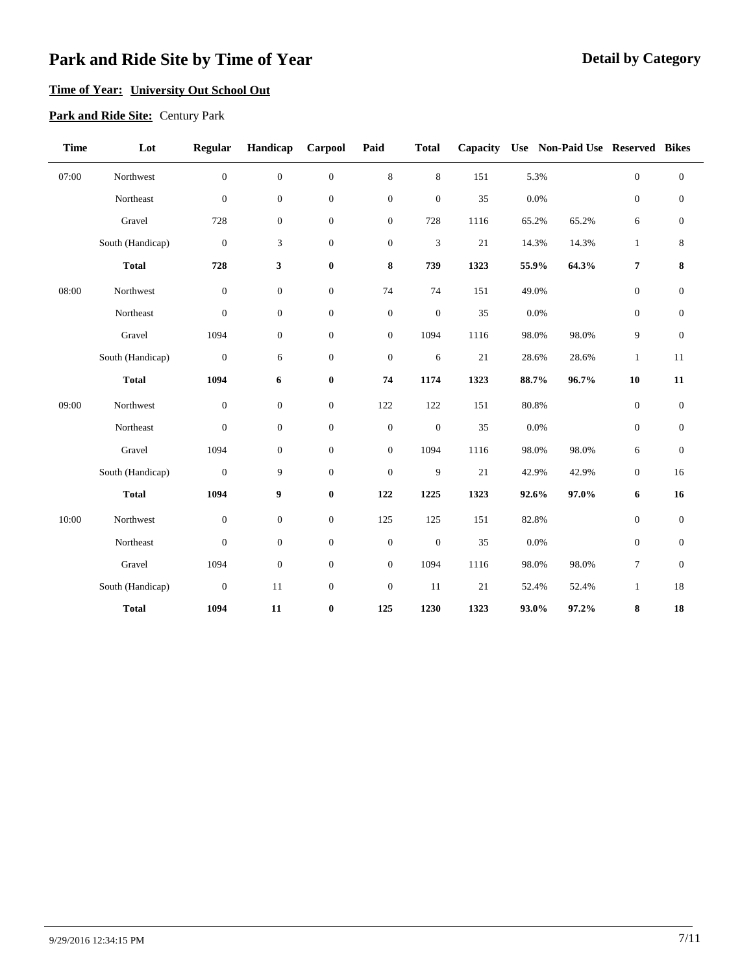### **Time of Year: University Out School Out**

#### **Park and Ride Site:** Century Park

| <b>Time</b> | Lot              | Regular          | Handicap         | Carpool          | Paid             | <b>Total</b>     | Capacity |       | Use Non-Paid Use Reserved Bikes |                  |                  |
|-------------|------------------|------------------|------------------|------------------|------------------|------------------|----------|-------|---------------------------------|------------------|------------------|
| 07:00       | Northwest        | $\boldsymbol{0}$ | $\overline{0}$   | $\boldsymbol{0}$ | $\,$ 8 $\,$      | $\,8\,$          | 151      | 5.3%  |                                 | $\boldsymbol{0}$ | $\boldsymbol{0}$ |
|             | Northeast        | $\boldsymbol{0}$ | $\boldsymbol{0}$ | $\boldsymbol{0}$ | $\boldsymbol{0}$ | $\boldsymbol{0}$ | 35       | 0.0%  |                                 | $\boldsymbol{0}$ | $\boldsymbol{0}$ |
|             | Gravel           | 728              | $\boldsymbol{0}$ | $\boldsymbol{0}$ | $\boldsymbol{0}$ | 728              | 1116     | 65.2% | 65.2%                           | 6                | $\boldsymbol{0}$ |
|             | South (Handicap) | $\boldsymbol{0}$ | 3                | $\boldsymbol{0}$ | $\boldsymbol{0}$ | 3                | 21       | 14.3% | 14.3%                           | $\mathbf{1}$     | 8                |
|             | <b>Total</b>     | 728              | 3                | $\pmb{0}$        | 8                | 739              | 1323     | 55.9% | 64.3%                           | $\pmb{7}$        | 8                |
| 08:00       | Northwest        | $\boldsymbol{0}$ | $\boldsymbol{0}$ | $\boldsymbol{0}$ | 74               | 74               | 151      | 49.0% |                                 | $\mathbf{0}$     | $\mathbf{0}$     |
|             | Northeast        | $\boldsymbol{0}$ | $\overline{0}$   | $\boldsymbol{0}$ | $\boldsymbol{0}$ | $\mathbf{0}$     | 35       | 0.0%  |                                 | $\theta$         | $\mathbf{0}$     |
|             | Gravel           | 1094             | $\boldsymbol{0}$ | $\boldsymbol{0}$ | $\boldsymbol{0}$ | 1094             | 1116     | 98.0% | 98.0%                           | 9                | $\boldsymbol{0}$ |
|             | South (Handicap) | $\boldsymbol{0}$ | 6                | $\boldsymbol{0}$ | $\boldsymbol{0}$ | 6                | 21       | 28.6% | 28.6%                           | $\mathbf{1}$     | 11               |
|             | <b>Total</b>     | 1094             | 6                | $\boldsymbol{0}$ | 74               | 1174             | 1323     | 88.7% | 96.7%                           | 10               | 11               |
| 09:00       | Northwest        | $\boldsymbol{0}$ | $\boldsymbol{0}$ | $\boldsymbol{0}$ | 122              | 122              | 151      | 80.8% |                                 | $\boldsymbol{0}$ | $\boldsymbol{0}$ |
|             | Northeast        | $\boldsymbol{0}$ | $\boldsymbol{0}$ | $\boldsymbol{0}$ | $\boldsymbol{0}$ | $\mathbf{0}$     | 35       | 0.0%  |                                 | $\boldsymbol{0}$ | $\mathbf{0}$     |
|             | Gravel           | 1094             | $\boldsymbol{0}$ | $\boldsymbol{0}$ | $\boldsymbol{0}$ | 1094             | 1116     | 98.0% | 98.0%                           | 6                | $\mathbf{0}$     |
|             | South (Handicap) | $\boldsymbol{0}$ | 9                | $\boldsymbol{0}$ | $\boldsymbol{0}$ | 9                | 21       | 42.9% | 42.9%                           | $\mathbf{0}$     | 16               |
|             | <b>Total</b>     | 1094             | 9                | $\pmb{0}$        | 122              | 1225             | 1323     | 92.6% | 97.0%                           | 6                | 16               |
| 10:00       | Northwest        | $\boldsymbol{0}$ | $\boldsymbol{0}$ | $\boldsymbol{0}$ | 125              | 125              | 151      | 82.8% |                                 | $\boldsymbol{0}$ | $\mathbf{0}$     |
|             | Northeast        | $\boldsymbol{0}$ | $\boldsymbol{0}$ | $\boldsymbol{0}$ | $\boldsymbol{0}$ | $\boldsymbol{0}$ | 35       | 0.0%  |                                 | $\mathbf{0}$     | $\mathbf{0}$     |
|             | Gravel           | 1094             | $\boldsymbol{0}$ | $\boldsymbol{0}$ | $\boldsymbol{0}$ | 1094             | 1116     | 98.0% | 98.0%                           | $\tau$           | $\theta$         |
|             | South (Handicap) | $\boldsymbol{0}$ | 11               | $\boldsymbol{0}$ | $\boldsymbol{0}$ | 11               | $21\,$   | 52.4% | 52.4%                           | $\mathbf{1}$     | 18               |
|             | <b>Total</b>     | 1094             | 11               | $\bf{0}$         | 125              | 1230             | 1323     | 93.0% | 97.2%                           | 8                | 18               |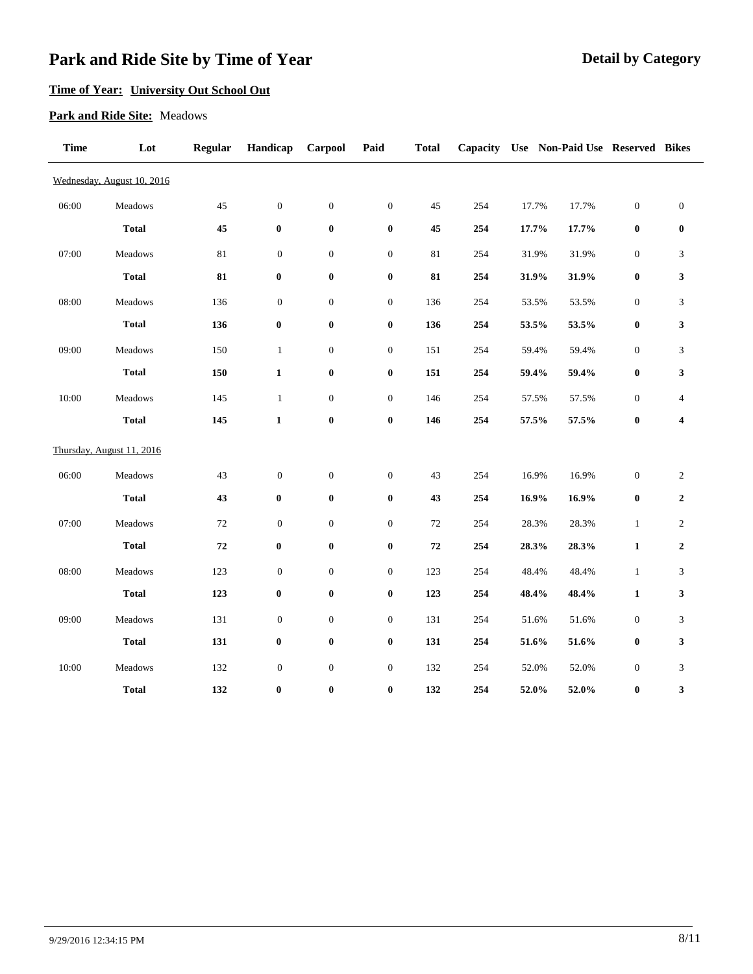### **Time of Year: University Out School Out**

#### **Park and Ride Site:** Meadows

| <b>Time</b> | Lot                        | Regular    | Handicap         | Carpool          | Paid             | <b>Total</b> | Capacity |          | Use Non-Paid Use Reserved Bikes |                  |                  |  |
|-------------|----------------------------|------------|------------------|------------------|------------------|--------------|----------|----------|---------------------------------|------------------|------------------|--|
|             | Wednesday, August 10, 2016 |            |                  |                  |                  |              |          |          |                                 |                  |                  |  |
| 06:00       | Meadows                    | 45         | $\boldsymbol{0}$ | $\boldsymbol{0}$ | $\boldsymbol{0}$ | 45           | 254      | 17.7%    | 17.7%                           | $\boldsymbol{0}$ | $\boldsymbol{0}$ |  |
|             | <b>Total</b>               | 45         | $\pmb{0}$        | $\pmb{0}$        | $\boldsymbol{0}$ | 45           | 254      | 17.7%    | 17.7%                           | $\bf{0}$         | $\boldsymbol{0}$ |  |
| 07:00       | Meadows                    | $81\,$     | $\boldsymbol{0}$ | $\boldsymbol{0}$ | $\boldsymbol{0}$ | 81           | 254      | 31.9%    | 31.9%                           | $\boldsymbol{0}$ | $\mathfrak{Z}$   |  |
|             | <b>Total</b>               | 81         | $\boldsymbol{0}$ | $\boldsymbol{0}$ | $\pmb{0}$        | 81           | 254      | 31.9%    | 31.9%                           | $\bf{0}$         | 3                |  |
| 08:00       | Meadows                    | 136        | $\boldsymbol{0}$ | $\boldsymbol{0}$ | $\boldsymbol{0}$ | 136          | 254      | 53.5%    | 53.5%                           | $\boldsymbol{0}$ | 3                |  |
|             | <b>Total</b>               | 136        | $\boldsymbol{0}$ | $\boldsymbol{0}$ | $\pmb{0}$        | 136          | 254      | 53.5%    | 53.5%                           | $\pmb{0}$        | 3                |  |
| 09:00       | Meadows                    | 150        | $\mathbf{1}$     | $\boldsymbol{0}$ | $\boldsymbol{0}$ | 151          | 254      | 59.4%    | 59.4%                           | $\boldsymbol{0}$ | 3                |  |
|             | <b>Total</b>               | 150        | $\mathbf{1}$     | $\bf{0}$         | $\pmb{0}$        | 151          | 254      | 59.4%    | 59.4%                           | $\bf{0}$         | 3                |  |
| 10:00       | Meadows                    | 145        | $\mathbf{1}$     | $\boldsymbol{0}$ | $\boldsymbol{0}$ | 146          | 254      | 57.5%    | 57.5%                           | $\boldsymbol{0}$ | 4                |  |
|             | <b>Total</b>               | 145        | $\mathbf{1}$     | $\bf{0}$         | $\pmb{0}$        | 146          | 254      | 57.5%    | 57.5%                           | $\bf{0}$         | 4                |  |
|             | Thursday, August 11, 2016  |            |                  |                  |                  |              |          |          |                                 |                  |                  |  |
| 06:00       | Meadows                    | 43         | $\boldsymbol{0}$ | $\boldsymbol{0}$ | $\boldsymbol{0}$ | 43           | 254      | 16.9%    | 16.9%                           | $\boldsymbol{0}$ | $\overline{2}$   |  |
|             | <b>Total</b>               | 43         | $\bf{0}$         | $\bf{0}$         | $\pmb{0}$        | 43           | 254      | 16.9%    | 16.9%                           | $\bf{0}$         | $\boldsymbol{2}$ |  |
| 07:00       | Meadows                    | 72         | $\boldsymbol{0}$ | $\boldsymbol{0}$ | $\boldsymbol{0}$ | $72\,$       | 254      | 28.3%    | 28.3%                           | $\mathbf{1}$     | $\overline{2}$   |  |
|             | <b>Total</b>               | ${\bf 72}$ | $\bf{0}$         | $\boldsymbol{0}$ | $\boldsymbol{0}$ | 72           | 254      | 28.3%    | 28.3%                           | $\mathbf{1}$     | $\boldsymbol{2}$ |  |
| 08:00       | Meadows                    | 123        | $\boldsymbol{0}$ | $\boldsymbol{0}$ | $\boldsymbol{0}$ | 123          | 254      | 48.4%    | 48.4%                           | $\mathbf{1}$     | 3                |  |
|             | <b>Total</b>               | 123        | $\boldsymbol{0}$ | $\boldsymbol{0}$ | $\pmb{0}$        | 123          | 254      | 48.4%    | 48.4%                           | $\mathbf{1}$     | 3                |  |
| 09:00       | Meadows                    | 131        | $\boldsymbol{0}$ | $\boldsymbol{0}$ | $\boldsymbol{0}$ | 131          | 254      | $51.6\%$ | 51.6%                           | $\boldsymbol{0}$ | 3                |  |
|             | <b>Total</b>               | 131        | $\pmb{0}$        | $\pmb{0}$        | $\boldsymbol{0}$ | 131          | 254      | 51.6%    | 51.6%                           | $\pmb{0}$        | 3                |  |
| 10:00       | Meadows                    | 132        | $\boldsymbol{0}$ | $\boldsymbol{0}$ | $\boldsymbol{0}$ | 132          | 254      | 52.0%    | 52.0%                           | $\boldsymbol{0}$ | 3                |  |
|             | <b>Total</b>               | 132        | $\bf{0}$         | $\bf{0}$         | $\bf{0}$         | 132          | 254      | 52.0%    | 52.0%                           | $\bf{0}$         | 3                |  |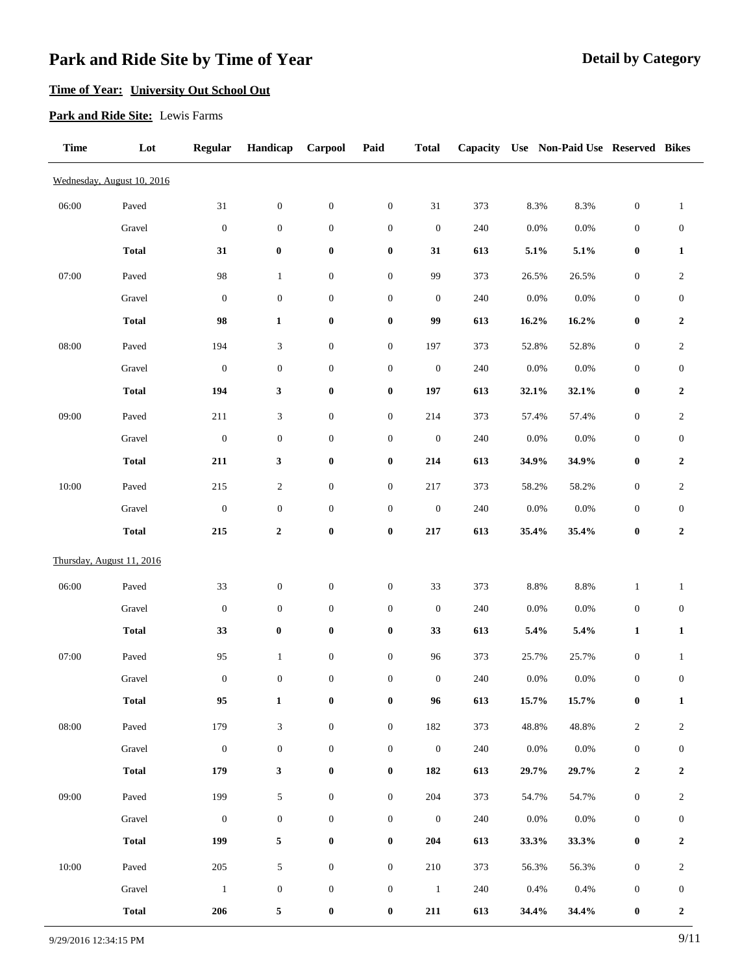### **Time of Year: University Out School Out**

#### **Park and Ride Site:** Lewis Farms

| <b>Time</b> | Lot                        | <b>Regular</b>   | Handicap                    | Carpool          | Paid             | <b>Total</b>     | Capacity |          | Use Non-Paid Use Reserved Bikes |                  |                  |
|-------------|----------------------------|------------------|-----------------------------|------------------|------------------|------------------|----------|----------|---------------------------------|------------------|------------------|
|             | Wednesday, August 10, 2016 |                  |                             |                  |                  |                  |          |          |                                 |                  |                  |
| 06:00       | Paved                      | $31\,$           | $\boldsymbol{0}$            | $\boldsymbol{0}$ | $\boldsymbol{0}$ | $31\,$           | 373      | 8.3%     | 8.3%                            | $\boldsymbol{0}$ | $\mathbf{1}$     |
|             | Gravel                     | $\boldsymbol{0}$ | $\boldsymbol{0}$            | $\boldsymbol{0}$ | $\boldsymbol{0}$ | $\boldsymbol{0}$ | 240      | $0.0\%$  | $0.0\%$                         | $\boldsymbol{0}$ | $\boldsymbol{0}$ |
|             | <b>Total</b>               | 31               | $\boldsymbol{0}$            | $\boldsymbol{0}$ | $\pmb{0}$        | 31               | 613      | 5.1%     | 5.1%                            | $\boldsymbol{0}$ | $\mathbf{1}$     |
| 07:00       | Paved                      | 98               | $\mathbf{1}$                | $\boldsymbol{0}$ | $\boldsymbol{0}$ | 99               | 373      | 26.5%    | 26.5%                           | $\boldsymbol{0}$ | $\sqrt{2}$       |
|             | Gravel                     | $\boldsymbol{0}$ | $\boldsymbol{0}$            | $\boldsymbol{0}$ | $\boldsymbol{0}$ | $\boldsymbol{0}$ | 240      | $0.0\%$  | 0.0%                            | $\boldsymbol{0}$ | $\boldsymbol{0}$ |
|             | <b>Total</b>               | 98               | $\mathbf{1}$                | $\boldsymbol{0}$ | $\boldsymbol{0}$ | 99               | 613      | $16.2\%$ | 16.2%                           | $\boldsymbol{0}$ | $\boldsymbol{2}$ |
| 08:00       | Paved                      | 194              | $\ensuremath{\mathfrak{Z}}$ | $\boldsymbol{0}$ | $\boldsymbol{0}$ | 197              | 373      | 52.8%    | 52.8%                           | $\boldsymbol{0}$ | $\overline{2}$   |
|             | Gravel                     | $\boldsymbol{0}$ | $\boldsymbol{0}$            | $\boldsymbol{0}$ | $\boldsymbol{0}$ | $\boldsymbol{0}$ | 240      | $0.0\%$  | $0.0\%$                         | $\boldsymbol{0}$ | $\boldsymbol{0}$ |
|             | <b>Total</b>               | 194              | $\mathbf{3}$                | $\boldsymbol{0}$ | $\pmb{0}$        | 197              | 613      | 32.1%    | 32.1%                           | $\boldsymbol{0}$ | $\boldsymbol{2}$ |
| 09:00       | Paved                      | 211              | $\ensuremath{\mathfrak{Z}}$ | $\boldsymbol{0}$ | $\boldsymbol{0}$ | 214              | 373      | 57.4%    | 57.4%                           | $\boldsymbol{0}$ | $\overline{c}$   |
|             | Gravel                     | $\boldsymbol{0}$ | $\boldsymbol{0}$            | $\boldsymbol{0}$ | $\boldsymbol{0}$ | $\boldsymbol{0}$ | $240\,$  | $0.0\%$  | 0.0%                            | $\boldsymbol{0}$ | $\boldsymbol{0}$ |
|             | <b>Total</b>               | 211              | $\mathbf{3}$                | $\boldsymbol{0}$ | $\boldsymbol{0}$ | 214              | 613      | 34.9%    | 34.9%                           | $\pmb{0}$        | $\boldsymbol{2}$ |
| 10:00       | Paved                      | 215              | $\sqrt{2}$                  | $\boldsymbol{0}$ | $\boldsymbol{0}$ | 217              | 373      | 58.2%    | 58.2%                           | $\boldsymbol{0}$ | $\sqrt{2}$       |
|             | Gravel                     | $\boldsymbol{0}$ | $\boldsymbol{0}$            | $\boldsymbol{0}$ | $\boldsymbol{0}$ | $\boldsymbol{0}$ | $240\,$  | $0.0\%$  | $0.0\%$                         | $\boldsymbol{0}$ | $\boldsymbol{0}$ |
|             | <b>Total</b>               | 215              | $\boldsymbol{2}$            | $\boldsymbol{0}$ | $\pmb{0}$        | 217              | 613      | 35.4%    | 35.4%                           | $\pmb{0}$        | $\boldsymbol{2}$ |
|             | Thursday, August 11, 2016  |                  |                             |                  |                  |                  |          |          |                                 |                  |                  |
| 06:00       | Paved                      | 33               | $\boldsymbol{0}$            | $\boldsymbol{0}$ | $\boldsymbol{0}$ | 33               | 373      | $8.8\%$  | 8.8%                            | $\mathbf{1}$     | $\mathbf{1}$     |
|             | Gravel                     | $\boldsymbol{0}$ | $\boldsymbol{0}$            | $\boldsymbol{0}$ | $\boldsymbol{0}$ | $\boldsymbol{0}$ | 240      | $0.0\%$  | 0.0%                            | $\boldsymbol{0}$ | $\boldsymbol{0}$ |
|             | <b>Total</b>               | 33               | $\boldsymbol{0}$            | $\boldsymbol{0}$ | $\boldsymbol{0}$ | 33               | 613      | 5.4%     | 5.4%                            | $\mathbf{1}$     | $\mathbf{1}$     |
| 07:00       | Paved                      | 95               | $\mathbf{1}$                | $\boldsymbol{0}$ | $\boldsymbol{0}$ | 96               | 373      | 25.7%    | 25.7%                           | $\boldsymbol{0}$ | $\mathbf{1}$     |
|             | Gravel                     | $\boldsymbol{0}$ | $\boldsymbol{0}$            | $\boldsymbol{0}$ | $\boldsymbol{0}$ | $\boldsymbol{0}$ | $240\,$  | $0.0\%$  | $0.0\%$                         | $\boldsymbol{0}$ | $\boldsymbol{0}$ |
|             | <b>Total</b>               | 95               | $\mathbf 1$                 | $\bf{0}$         | $\pmb{0}$        | 96               | 613      | 15.7%    | $15.7\%$                        | $\pmb{0}$        | $\mathbf{1}$     |
| 08:00       | Paved                      | 179              | $\ensuremath{\mathfrak{Z}}$ | $\boldsymbol{0}$ | $\boldsymbol{0}$ | 182              | 373      | 48.8%    | 48.8%                           | $\sqrt{2}$       | $\boldsymbol{2}$ |
|             | Gravel                     | $\boldsymbol{0}$ | $\boldsymbol{0}$            | $\boldsymbol{0}$ | $\boldsymbol{0}$ | $\,0\,$          | $240\,$  | 0.0%     | 0.0%                            | $\boldsymbol{0}$ | $\boldsymbol{0}$ |
|             | <b>Total</b>               | 179              | $\mathbf{3}$                | $\boldsymbol{0}$ | $\pmb{0}$        | 182              | 613      | 29.7%    | 29.7%                           | $\mathbf 2$      | $\boldsymbol{2}$ |
| 09:00       | Paved                      | 199              | $\sqrt{5}$                  | $\boldsymbol{0}$ | $\boldsymbol{0}$ | 204              | 373      | 54.7%    | 54.7%                           | $\boldsymbol{0}$ | $\overline{c}$   |
|             | Gravel                     | $\boldsymbol{0}$ | $\boldsymbol{0}$            | $\boldsymbol{0}$ | $\boldsymbol{0}$ | $\boldsymbol{0}$ | 240      | 0.0%     | 0.0%                            | $\boldsymbol{0}$ | $\boldsymbol{0}$ |
|             | <b>Total</b>               | 199              | 5                           | $\pmb{0}$        | $\pmb{0}$        | 204              | 613      | 33.3%    | 33.3%                           | $\boldsymbol{0}$ | $\boldsymbol{2}$ |
| 10:00       | Paved                      | 205              | 5                           | $\boldsymbol{0}$ | $\boldsymbol{0}$ | $210\,$          | 373      | 56.3%    | 56.3%                           | $\boldsymbol{0}$ | $\overline{2}$   |
|             | Gravel                     | $\mathbf{1}$     | $\boldsymbol{0}$            | $\boldsymbol{0}$ | $\boldsymbol{0}$ | $\overline{1}$   | 240      | 0.4%     | 0.4%                            | $\boldsymbol{0}$ | $\boldsymbol{0}$ |
|             | <b>Total</b>               | 206              | 5                           | $\pmb{0}$        | $\pmb{0}$        | ${\bf 211}$      | 613      | 34.4%    | 34.4%                           | $\boldsymbol{0}$ | $\boldsymbol{2}$ |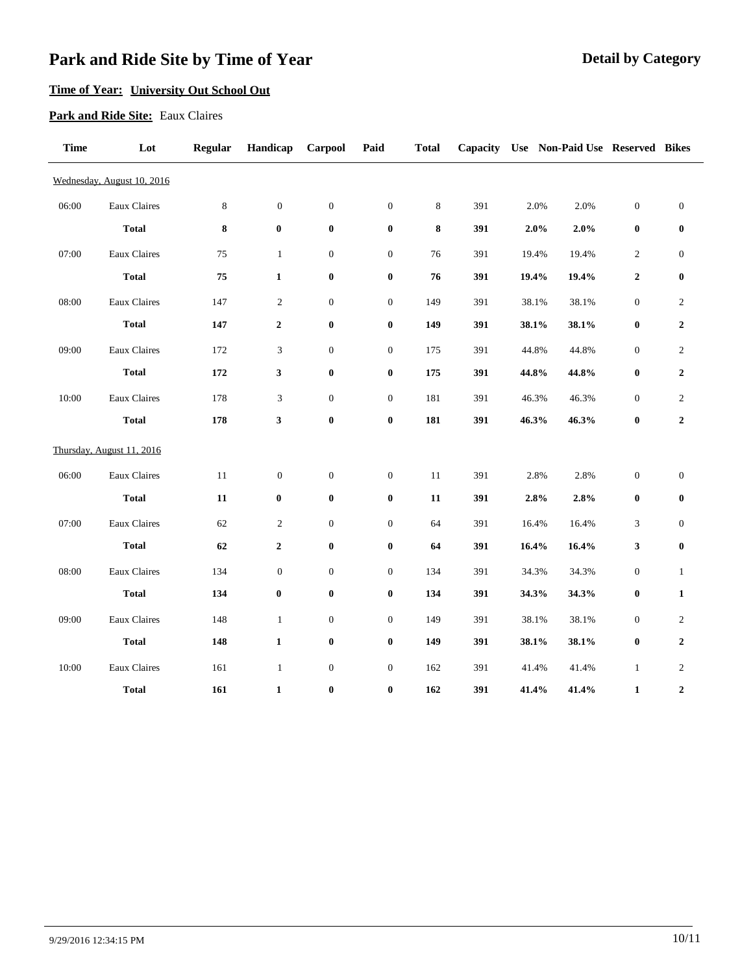### **Time of Year: University Out School Out**

#### **Park and Ride Site:** Eaux Claires

| <b>Time</b> | Lot                        | <b>Regular</b> | Handicap                    | Carpool          | Paid             | <b>Total</b> | Capacity |       | Use Non-Paid Use Reserved Bikes |                  |                  |
|-------------|----------------------------|----------------|-----------------------------|------------------|------------------|--------------|----------|-------|---------------------------------|------------------|------------------|
|             | Wednesday, August 10, 2016 |                |                             |                  |                  |              |          |       |                                 |                  |                  |
| 06:00       | Eaux Claires               | $\,8\,$        | $\boldsymbol{0}$            | $\boldsymbol{0}$ | $\boldsymbol{0}$ | $\,8\,$      | 391      | 2.0%  | 2.0%                            | $\boldsymbol{0}$ | $\boldsymbol{0}$ |
|             | <b>Total</b>               | $\bf 8$        | $\boldsymbol{0}$            | $\boldsymbol{0}$ | $\boldsymbol{0}$ | 8            | 391      | 2.0%  | 2.0%                            | $\bf{0}$         | $\boldsymbol{0}$ |
| 07:00       | Eaux Claires               | 75             | $\mathbf{1}$                | $\boldsymbol{0}$ | $\boldsymbol{0}$ | 76           | 391      | 19.4% | 19.4%                           | $\overline{c}$   | $\boldsymbol{0}$ |
|             | <b>Total</b>               | 75             | $\mathbf{1}$                | $\pmb{0}$        | $\pmb{0}$        | 76           | 391      | 19.4% | 19.4%                           | $\mathbf 2$      | $\boldsymbol{0}$ |
| 08:00       | Eaux Claires               | 147            | $\boldsymbol{2}$            | $\boldsymbol{0}$ | $\boldsymbol{0}$ | 149          | 391      | 38.1% | 38.1%                           | $\boldsymbol{0}$ | $\overline{c}$   |
|             | <b>Total</b>               | 147            | $\boldsymbol{2}$            | $\boldsymbol{0}$ | $\pmb{0}$        | 149          | 391      | 38.1% | 38.1%                           | $\bf{0}$         | $\mathbf{2}$     |
| 09:00       | Eaux Claires               | 172            | $\ensuremath{\mathfrak{Z}}$ | $\boldsymbol{0}$ | $\boldsymbol{0}$ | 175          | 391      | 44.8% | 44.8%                           | $\boldsymbol{0}$ | $\sqrt{2}$       |
|             | <b>Total</b>               | 172            | $\mathbf{3}$                | $\boldsymbol{0}$ | $\pmb{0}$        | 175          | 391      | 44.8% | 44.8%                           | $\bf{0}$         | $\boldsymbol{2}$ |
| 10:00       | Eaux Claires               | 178            | $\mathfrak{Z}$              | $\boldsymbol{0}$ | $\boldsymbol{0}$ | 181          | 391      | 46.3% | 46.3%                           | $\boldsymbol{0}$ | $\overline{c}$   |
|             | <b>Total</b>               | 178            | 3                           | $\boldsymbol{0}$ | $\pmb{0}$        | 181          | 391      | 46.3% | 46.3%                           | $\bf{0}$         | $\boldsymbol{2}$ |
|             | Thursday, August 11, 2016  |                |                             |                  |                  |              |          |       |                                 |                  |                  |
| 06:00       | Eaux Claires               | 11             | $\boldsymbol{0}$            | $\boldsymbol{0}$ | $\boldsymbol{0}$ | 11           | 391      | 2.8%  | 2.8%                            | $\boldsymbol{0}$ | $\boldsymbol{0}$ |
|             | <b>Total</b>               | 11             | $\bf{0}$                    | $\bf{0}$         | $\boldsymbol{0}$ | 11           | 391      | 2.8%  | 2.8%                            | $\boldsymbol{0}$ | $\bf{0}$         |
| 07:00       | Eaux Claires               | 62             | $\boldsymbol{2}$            | $\boldsymbol{0}$ | $\boldsymbol{0}$ | 64           | 391      | 16.4% | 16.4%                           | 3                | $\boldsymbol{0}$ |
|             | <b>Total</b>               | 62             | $\boldsymbol{2}$            | $\boldsymbol{0}$ | $\pmb{0}$        | 64           | 391      | 16.4% | 16.4%                           | 3                | $\bf{0}$         |
| 08:00       | Eaux Claires               | 134            | $\boldsymbol{0}$            | $\boldsymbol{0}$ | $\boldsymbol{0}$ | 134          | 391      | 34.3% | 34.3%                           | $\boldsymbol{0}$ | $\mathbf{1}$     |
|             | <b>Total</b>               | 134            | $\boldsymbol{0}$            | $\boldsymbol{0}$ | $\pmb{0}$        | 134          | 391      | 34.3% | 34.3%                           | $\bf{0}$         | $\mathbf{1}$     |
| 09:00       | Eaux Claires               | 148            | $\mathbf{1}$                | $\boldsymbol{0}$ | $\boldsymbol{0}$ | 149          | 391      | 38.1% | 38.1%                           | $\boldsymbol{0}$ | $\overline{c}$   |
|             | <b>Total</b>               | 148            | $\mathbf 1$                 | $\pmb{0}$        | $\boldsymbol{0}$ | 149          | 391      | 38.1% | 38.1%                           | $\bf{0}$         | $\boldsymbol{2}$ |
| 10:00       | Eaux Claires               | 161            | $\mathbf{1}$                | $\boldsymbol{0}$ | $\boldsymbol{0}$ | 162          | 391      | 41.4% | 41.4%                           | $\mathbf{1}$     | 2                |
|             | <b>Total</b>               | 161            | $\mathbf{1}$                | $\bf{0}$         | $\bf{0}$         | 162          | 391      | 41.4% | 41.4%                           | $\mathbf{1}$     | $\overline{2}$   |